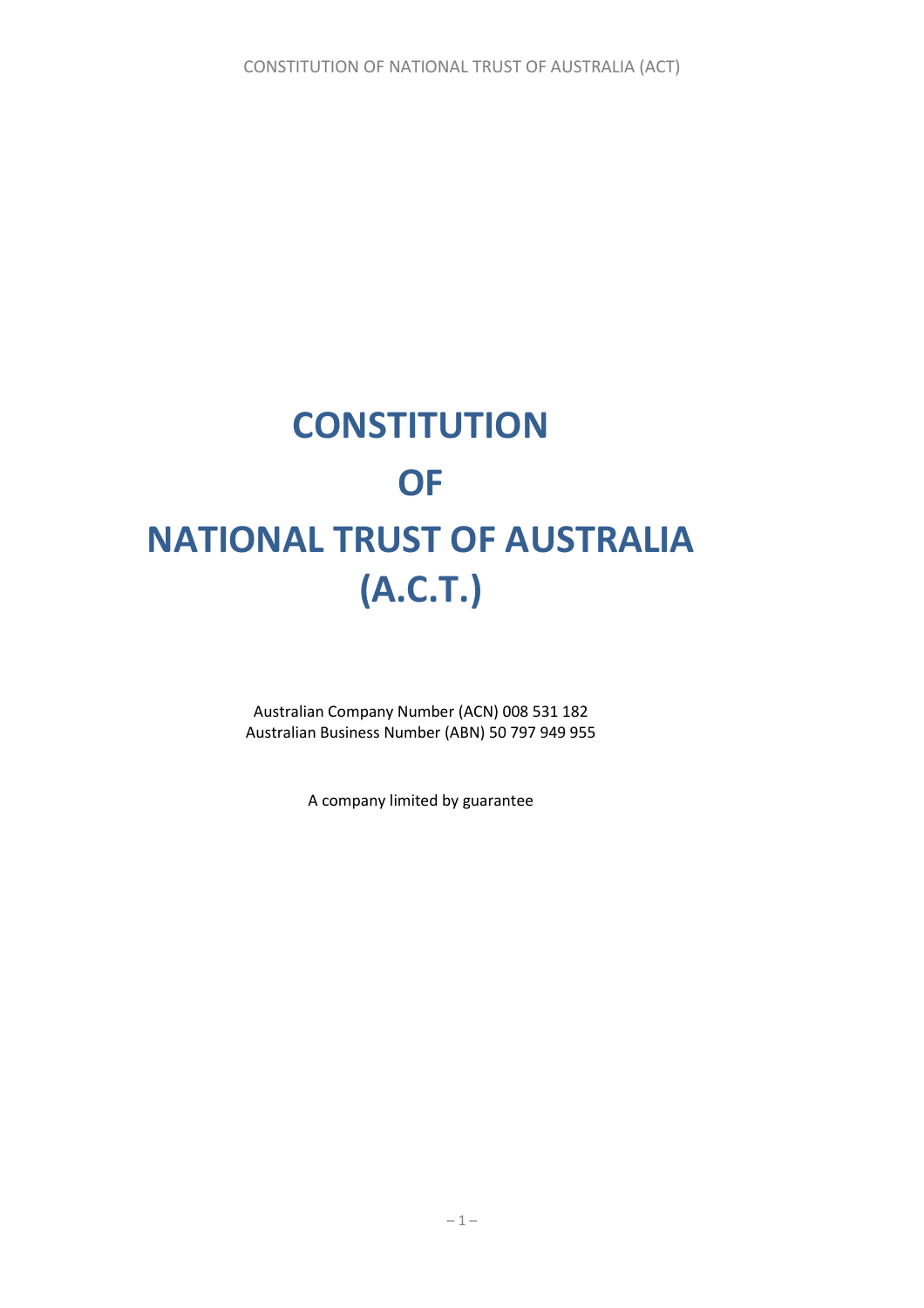# **CONSTITUTION OF NATIONAL TRUST OF AUSTRALIA (A.C.T.)**

Australian Company Number (ACN) 008 531 182 Australian Business Number (ABN) 50 797 949 955

A company limited by guarantee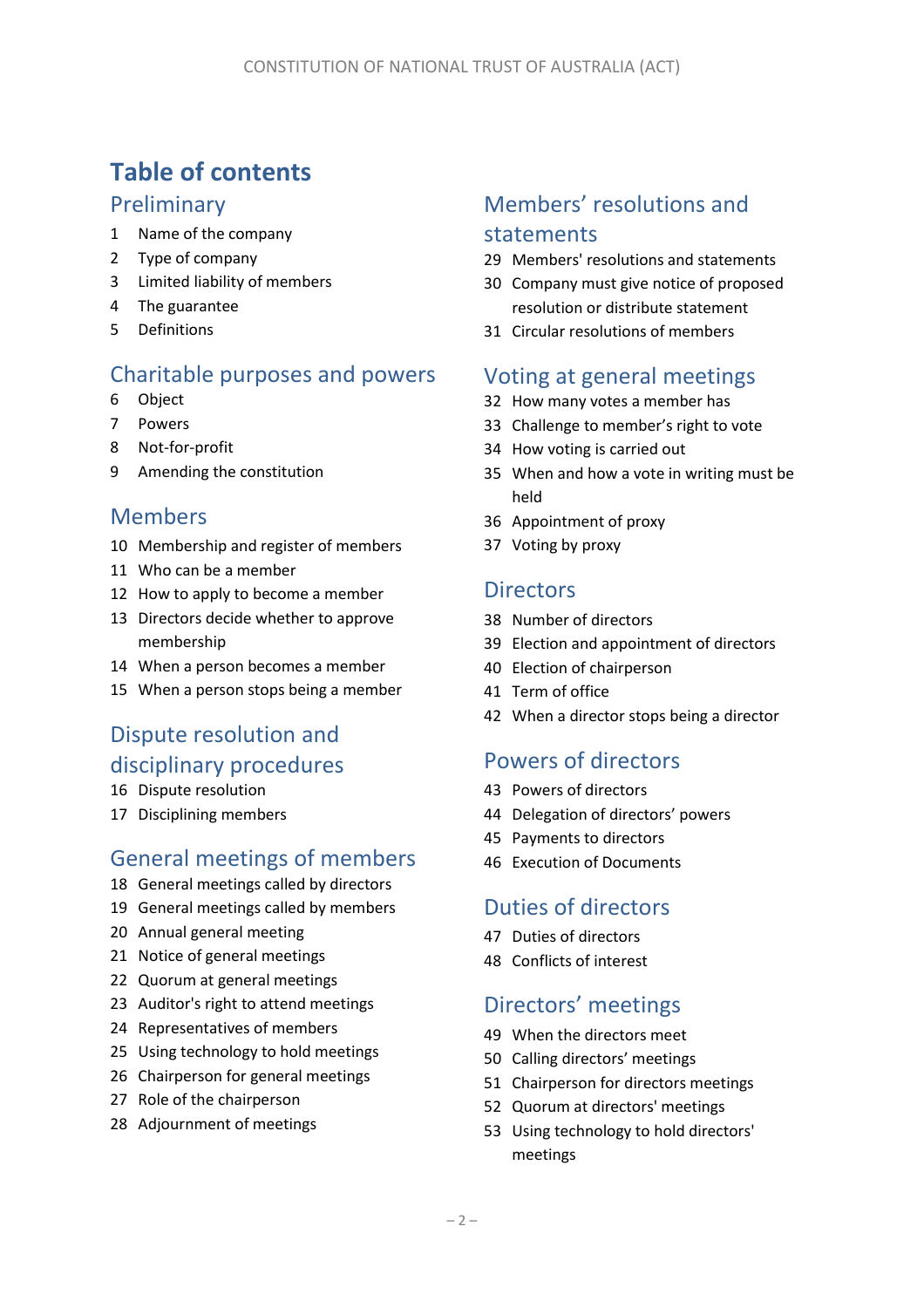# **Table of contents**

### Preliminary

- Name of the company
- Type of company
- Limited liability of members
- The guarantee
- Definitions

# Charitable purposes and powers

- <span id="page-1-3"></span>Object
- Powers
- Not-for-profit
- Amending the constitution

# Members

- Membership and register of members
- Who can be a member
- How to apply to become a member
- Directors decide whether to approve membership
- When a person becomes a member
- When a person stops being a member

# Dispute resolution and disciplinary procedures

- Dispute resolution
- <span id="page-1-0"></span>Disciplining members

# General meetings of members

- General meetings called by directors
- General meetings called by members
- Annual general meeting
- Notice of general meetings
- Quorum at general meetings
- Auditor's right to attend meetings
- Representatives of members
- Using technology to hold meetings
- Chairperson for general meetings
- Role of the chairperson
- Adjournment of meetings

# Members' resolutions and statements

- <span id="page-1-1"></span>Members' resolutions and statements
- <span id="page-1-5"></span> Company must give notice of proposed resolution or distribute statement
- Circular resolutions of members

### Voting at general meetings

- How many votes a member has
- Challenge to member's right to vote
- How voting is carried out
- When and how a vote in writing must be held
- Appointment of proxy
- Voting by proxy

### **Directors**

- Number of directors
- <span id="page-1-2"></span>Election and appointment of directors
- Election of chairperson
- Term of office
- When a director stops being a director

### Powers of directors

- Powers of directors
- <span id="page-1-4"></span>Delegation of directors' powers
- Payments to directors
- Execution of Documents

# Duties of directors

- Duties of directors
- Conflicts of interest

### Directors' meetings

- When the directors meet
- Calling directors' meetings
- Chairperson for directors meetings
- Quorum at directors' meetings
- Using technology to hold directors' meetings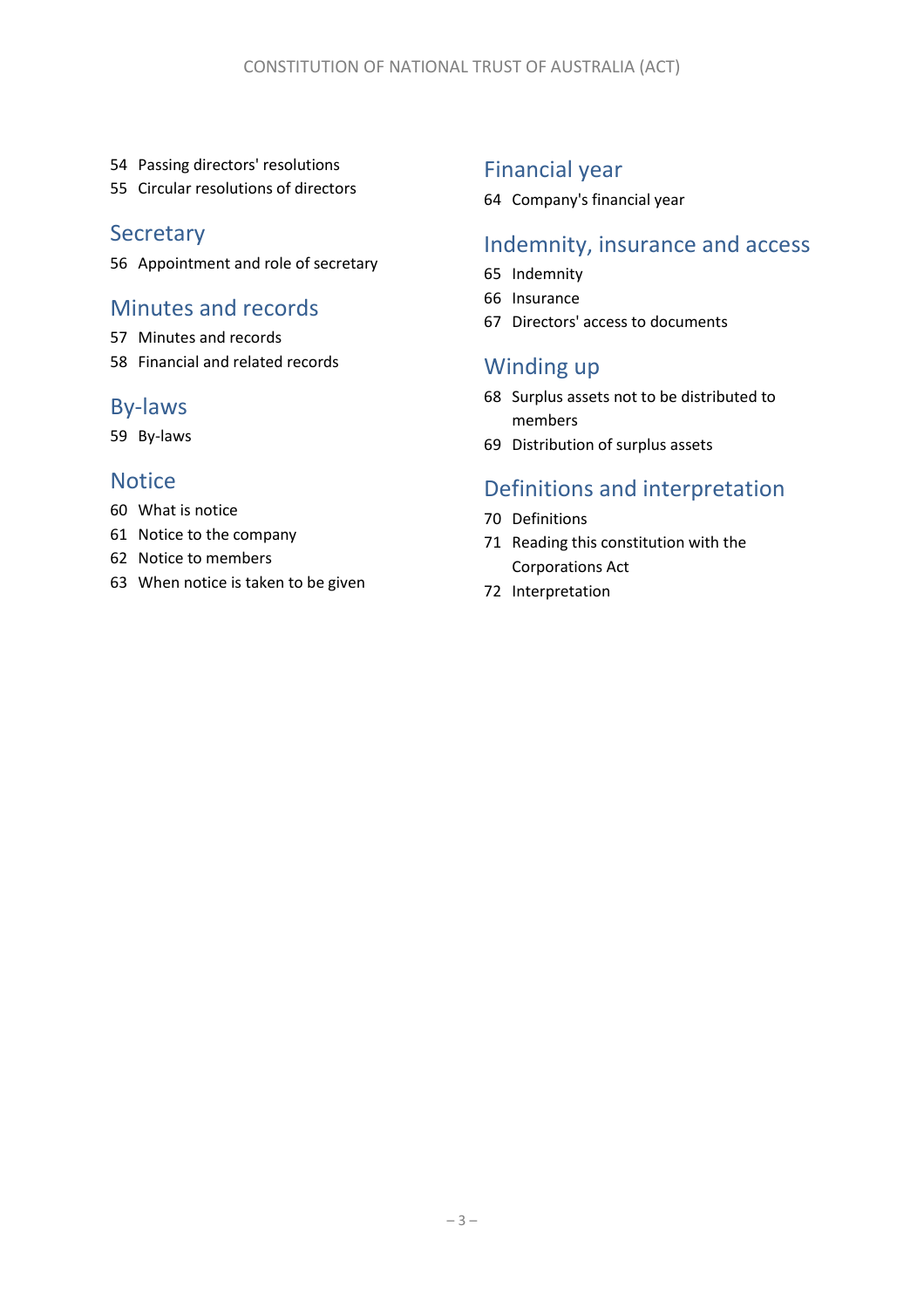- Passing directors' resolutions
- Circular resolutions of directors

### **Secretary**

Appointment and role of secretary

### Minutes and records

- Minutes and records
- Financial and related records

### By-laws

By-laws

### **Notice**

- What is notice
- Notice to the company
- Notice to members
- When notice is taken to be given

# Financial year

Company's financial year

# Indemnity, insurance and access

- Indemnity
- Insurance
- Directors' access to documents

# Winding up

- Surplus assets not to be distributed to members
- Distribution of surplus assets

# Definitions and interpretation

- Definitions
- Reading this constitution with the Corporations Act
- Interpretation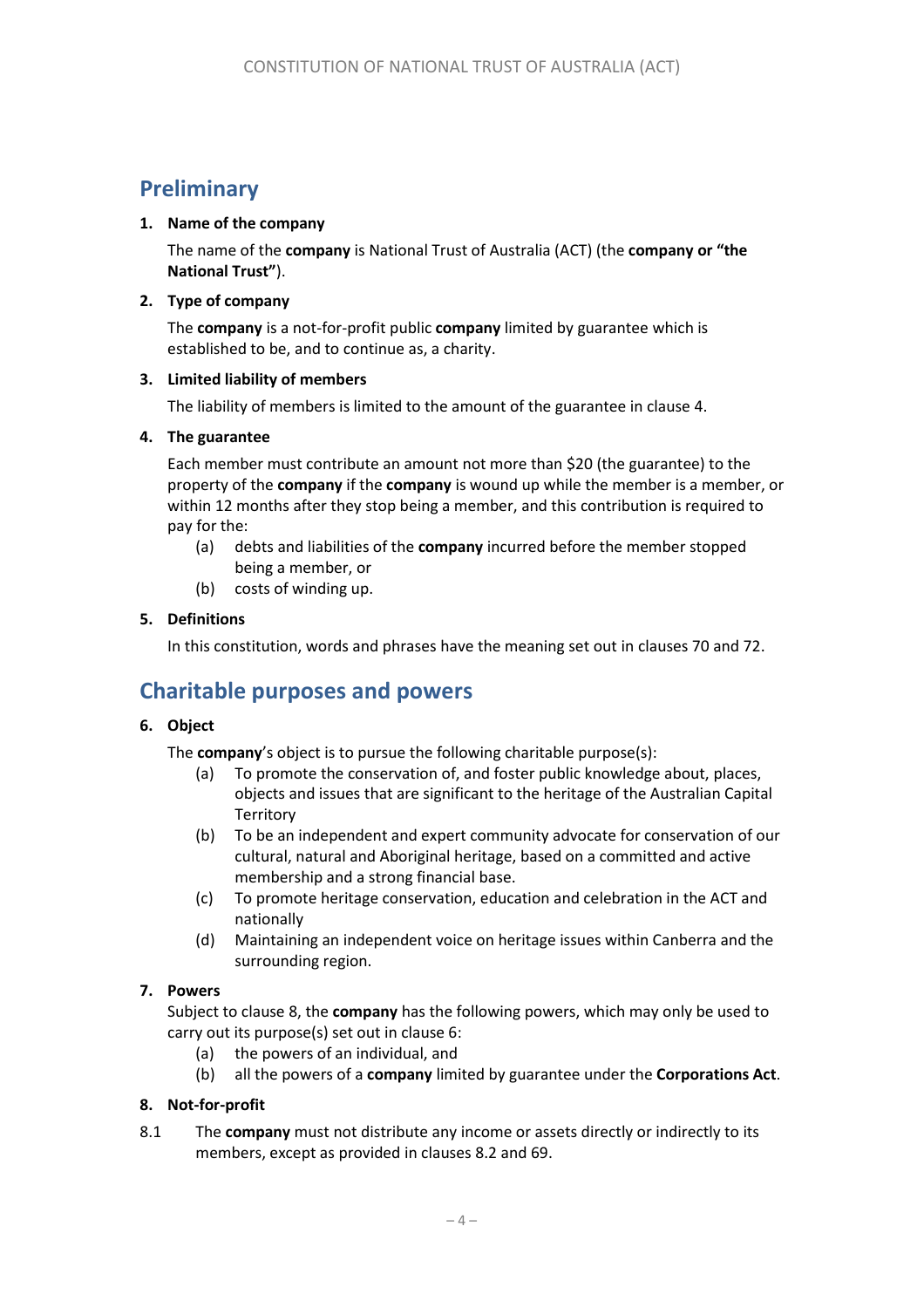# **Preliminary**

#### <span id="page-3-3"></span>**1. Name of the company**

The name of the **company** is National Trust of Australia (ACT) (the **company or "the National Trust"**).

#### **2. Type of company**

The **company** is a not-for-profit public **company** limited by guarantee which is established to be, and to continue as, a charity.

#### **3. Limited liability of members**

The liability of members is limited to the amount of the guarantee in clause [4.](#page-3-0)

#### <span id="page-3-0"></span>**4. The guarantee**

Each member must contribute an amount not more than \$20 (the guarantee) to the property of the **company** if the **company** is wound up while the member is a member, or within 12 months after they stop being a member, and this contribution is required to pay for the:

- (a) debts and liabilities of the **company** incurred before the member stopped being a member, or
- (b) costs of winding up.

#### **5. Definitions**

In this constitution, words and phrases have the meaning set out in clause[s 70](#page-25-0) an[d 72.](#page-26-0)

# **Charitable purposes and powers**

#### **6. Object**

The **company**'s object is to pursue the following charitable purpose(s):

- (a) To promote the conservation of, and foster public knowledge about, places, objects and issues that are significant to the heritage of the Australian Capital **Territory**
- (b) To be an independent and expert community advocate for conservation of our cultural, natural and Aboriginal heritage, based on a committed and active membership and a strong financial base.
- (c) To promote heritage conservation, education and celebration in the ACT and nationally
- (d) Maintaining an independent voice on heritage issues within Canberra and the surrounding region.

#### **7. Powers**

Subject to clause [8,](#page-3-1) the **company** has the following powers, which may only be used to carry out its purpose(s) set out in clause 6:

- (a) the powers of an individual, and
- (b) all the powers of a **company** limited by guarantee under the **Corporations Act**.

#### <span id="page-3-1"></span>**8. Not-for-profit**

<span id="page-3-2"></span>8.1 The **company** must not distribute any income or assets directly or indirectly to its members, except as provided in clauses [8.2](#page-4-0) and [69.](#page-24-0)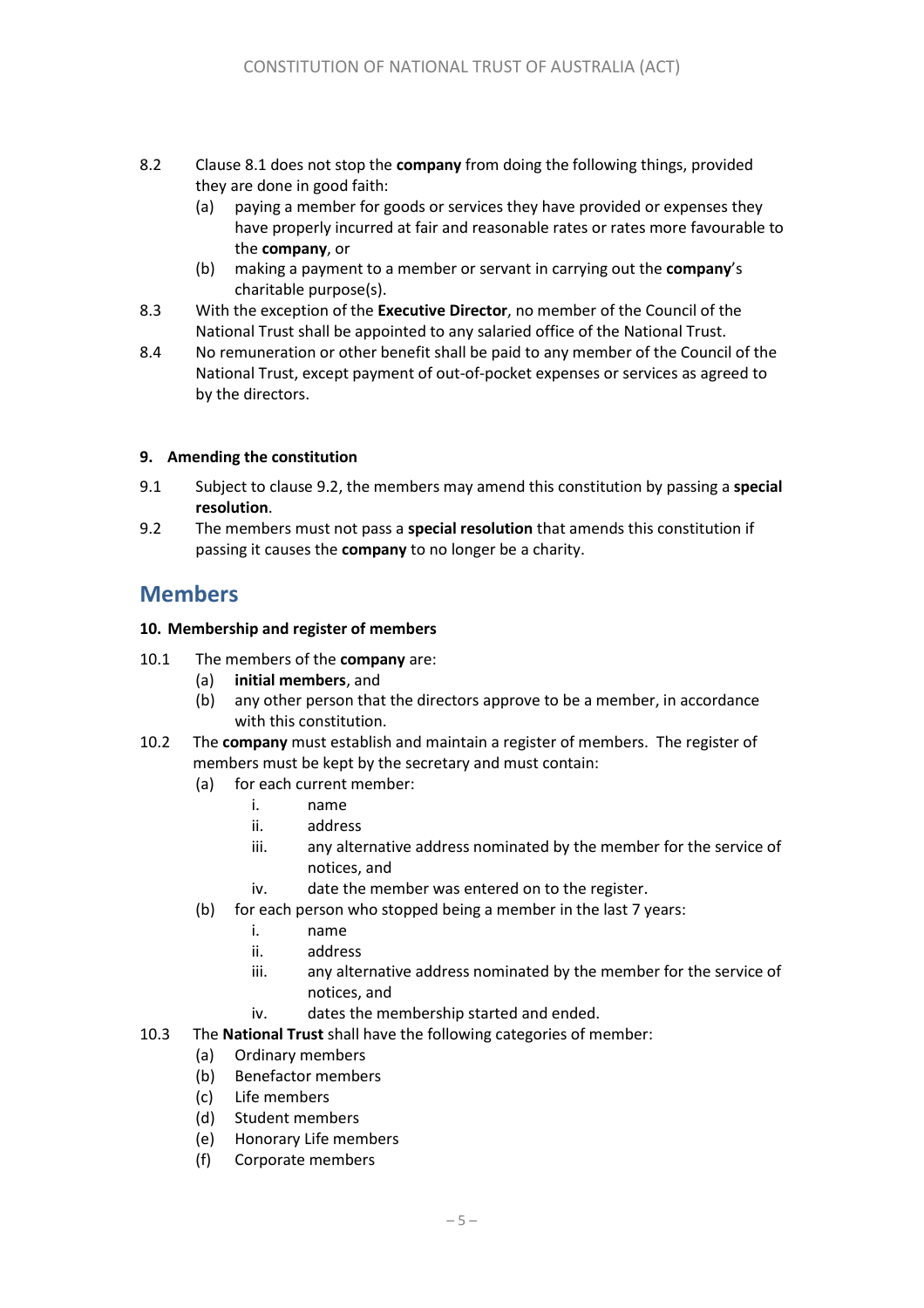- <span id="page-4-0"></span>8.2 Claus[e 8.1](#page-3-2) does not stop the **company** from doing the following things, provided they are done in good faith:
	- (a) paying a member for goods or services they have provided or expenses they have properly incurred at fair and reasonable rates or rates more favourable to the **company**, or
	- (b) making a payment to a member or servant in carrying out the **company**'s charitable purpose(s).
- 8.3 With the exception of the **Executive Director**, no member of the Council of the National Trust shall be appointed to any salaried office of the National Trust.
- 8.4 No remuneration or other benefit shall be paid to any member of the Council of the National Trust, except payment of out-of-pocket expenses or services as agreed to by the directors.

#### **9. Amending the constitution**

- 9.1 Subject to clause [9.2,](#page-4-1) the members may amend this constitution by passing a **special resolution**.
- <span id="page-4-1"></span>9.2 The members must not pass a **special resolution** that amends this constitution if passing it causes the **company** to no longer be a charity.

### **Members**

#### **10. Membership and register of members**

- 10.1 The members of the **company** are:
	- (a) **initial members**, and
	- (b) any other person that the directors approve to be a member, in accordance with this constitution.
- 10.2 The **company** must establish and maintain a register of members. The register of members must be kept by the secretary and must contain:
	- (a) for each current member:
		- i. name
			- ii. address
			- iii. any alternative address nominated by the member for the service of notices, and
			- iv. date the member was entered on to the register.
	- (b) for each person who stopped being a member in the last 7 years:
		- i. name
		- ii. address
		- iii. any alternative address nominated by the member for the service of notices, and
		- iv. dates the membership started and ended.
- 10.3 The **National Trust** shall have the following categories of member:
	- (a) Ordinary members
	- (b) Benefactor members
	- (c) Life members
	- (d) Student members
	- (e) Honorary Life members
	- (f) Corporate members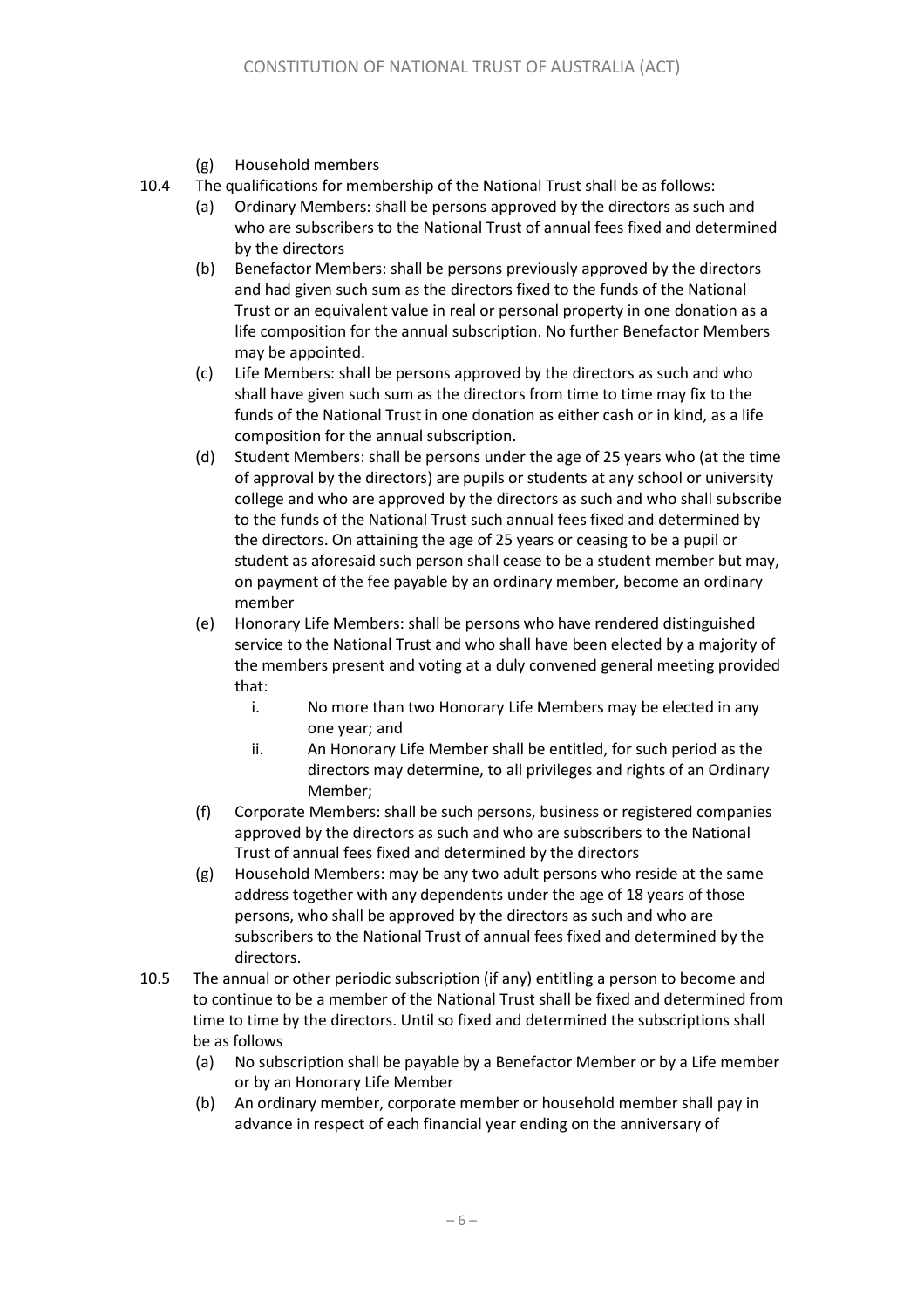(g) Household members

10.4 The qualifications for membership of the National Trust shall be as follows:

- (a) Ordinary Members: shall be persons approved by the directors as such and who are subscribers to the National Trust of annual fees fixed and determined by the directors
- (b) Benefactor Members: shall be persons previously approved by the directors and had given such sum as the directors fixed to the funds of the National Trust or an equivalent value in real or personal property in one donation as a life composition for the annual subscription. No further Benefactor Members may be appointed.
- (c) Life Members: shall be persons approved by the directors as such and who shall have given such sum as the directors from time to time may fix to the funds of the National Trust in one donation as either cash or in kind, as a life composition for the annual subscription.
- (d) Student Members: shall be persons under the age of 25 years who (at the time of approval by the directors) are pupils or students at any school or university college and who are approved by the directors as such and who shall subscribe to the funds of the National Trust such annual fees fixed and determined by the directors. On attaining the age of 25 years or ceasing to be a pupil or student as aforesaid such person shall cease to be a student member but may, on payment of the fee payable by an ordinary member, become an ordinary member
- (e) Honorary Life Members: shall be persons who have rendered distinguished service to the National Trust and who shall have been elected by a majority of the members present and voting at a duly convened general meeting provided that:
	- i. No more than two Honorary Life Members may be elected in any one year; and
	- ii. An Honorary Life Member shall be entitled, for such period as the directors may determine, to all privileges and rights of an Ordinary Member;
- (f) Corporate Members: shall be such persons, business or registered companies approved by the directors as such and who are subscribers to the National Trust of annual fees fixed and determined by the directors
- (g) Household Members: may be any two adult persons who reside at the same address together with any dependents under the age of 18 years of those persons, who shall be approved by the directors as such and who are subscribers to the National Trust of annual fees fixed and determined by the directors.
- 10.5 The annual or other periodic subscription (if any) entitling a person to become and to continue to be a member of the National Trust shall be fixed and determined from time to time by the directors. Until so fixed and determined the subscriptions shall be as follows
	- (a) No subscription shall be payable by a Benefactor Member or by a Life member or by an Honorary Life Member
	- (b) An ordinary member, corporate member or household member shall pay in advance in respect of each financial year ending on the anniversary of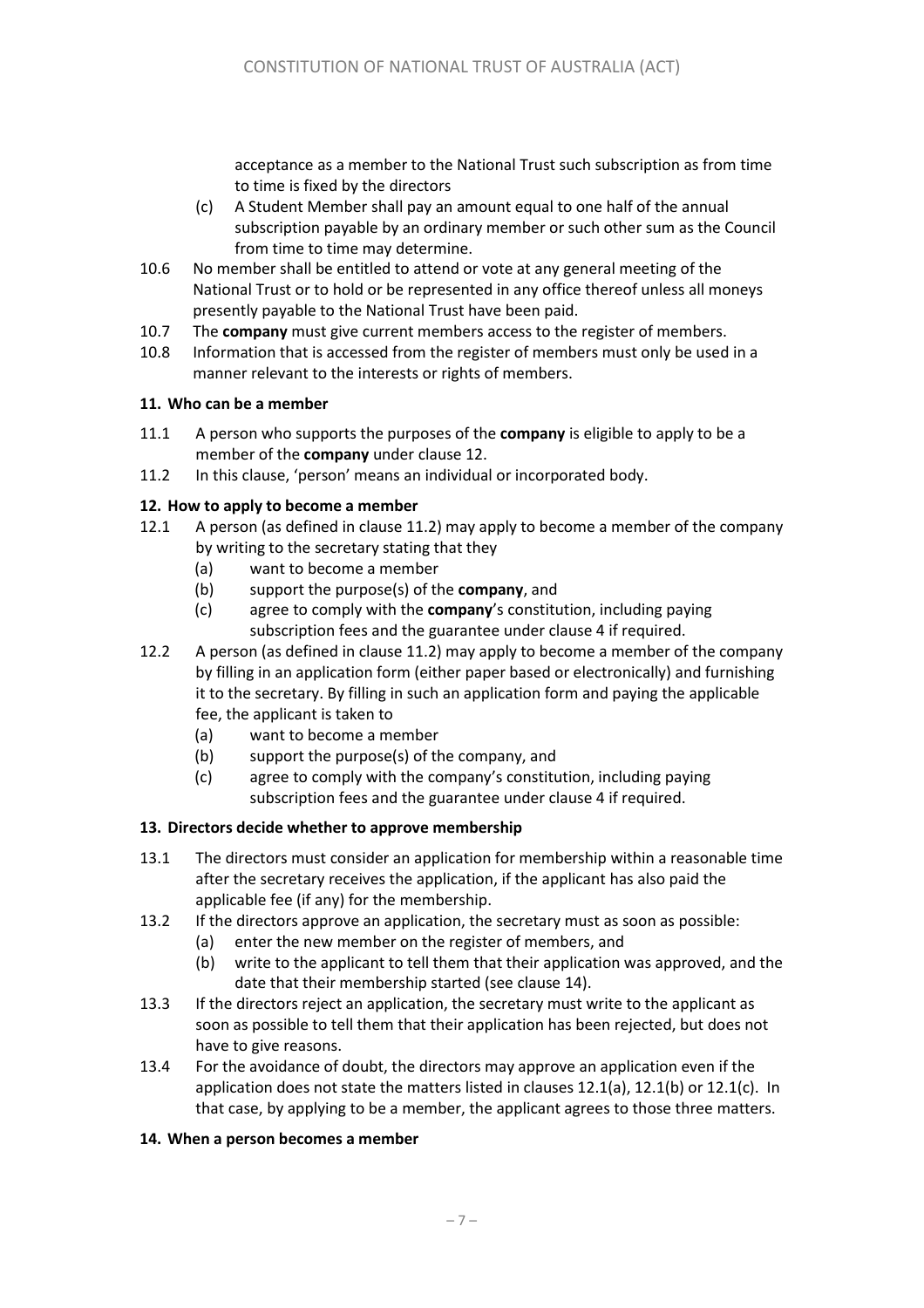acceptance as a member to the National Trust such subscription as from time to time is fixed by the directors

- (c) A Student Member shall pay an amount equal to one half of the annual subscription payable by an ordinary member or such other sum as the Council from time to time may determine.
- 10.6 No member shall be entitled to attend or vote at any general meeting of the National Trust or to hold or be represented in any office thereof unless all moneys presently payable to the National Trust have been paid.
- 10.7 The **company** must give current members access to the register of members.
- 10.8 Information that is accessed from the register of members must only be used in a manner relevant to the interests or rights of members.

#### **11. Who can be a member**

- 11.1 A person who supports the purposes of the **company** is eligible to apply to be a member of the **company** under claus[e 12.](#page-6-0)
- 11.2 In this clause, 'person' means an individual or incorporated body.

#### <span id="page-6-0"></span>**12. How to apply to become a member**

- 12.1 A person (as defined in clause 11.2) may apply to become a member of the company by writing to the secretary stating that they
	- (a) want to become a member
	- (b) support the purpose(s) of the **company**, and
	- (c) agree to comply with the **company**'s constitution, including paying subscription fees and the guarantee under clause 4 if required.
- 12.2 A person (as defined in clause 11.2) may apply to become a member of the company by filling in an application form (either paper based or electronically) and furnishing it to the secretary. By filling in such an application form and paying the applicable fee, the applicant is taken to
	- (a) want to become a member
	- (b) support the purpose(s) of the company, and
	- (c) agree to comply with the company's constitution, including paying subscription fees and the guarantee under clause 4 if required.

#### **13. Directors decide whether to approve membership**

- 13.1 The directors must consider an application for membership within a reasonable time after the secretary receives the application, if the applicant has also paid the applicable fee (if any) for the membership.
- 13.2 If the directors approve an application, the secretary must as soon as possible:
	- (a) enter the new member on the register of members, and
		- (b) write to the applicant to tell them that their application was approved, and the date that their membership started (see claus[e 14\)](#page-6-1).
- 13.3 If the directors reject an application, the secretary must write to the applicant as soon as possible to tell them that their application has been rejected, but does not have to give reasons.
- 13.4 For the avoidance of doubt, the directors may approve an application even if the application does not state the matters listed in clauses 12.1(a), 12.1(b) or 12.1(c). In that case, by applying to be a member, the applicant agrees to those three matters.

#### <span id="page-6-1"></span>**14. When a person becomes a member**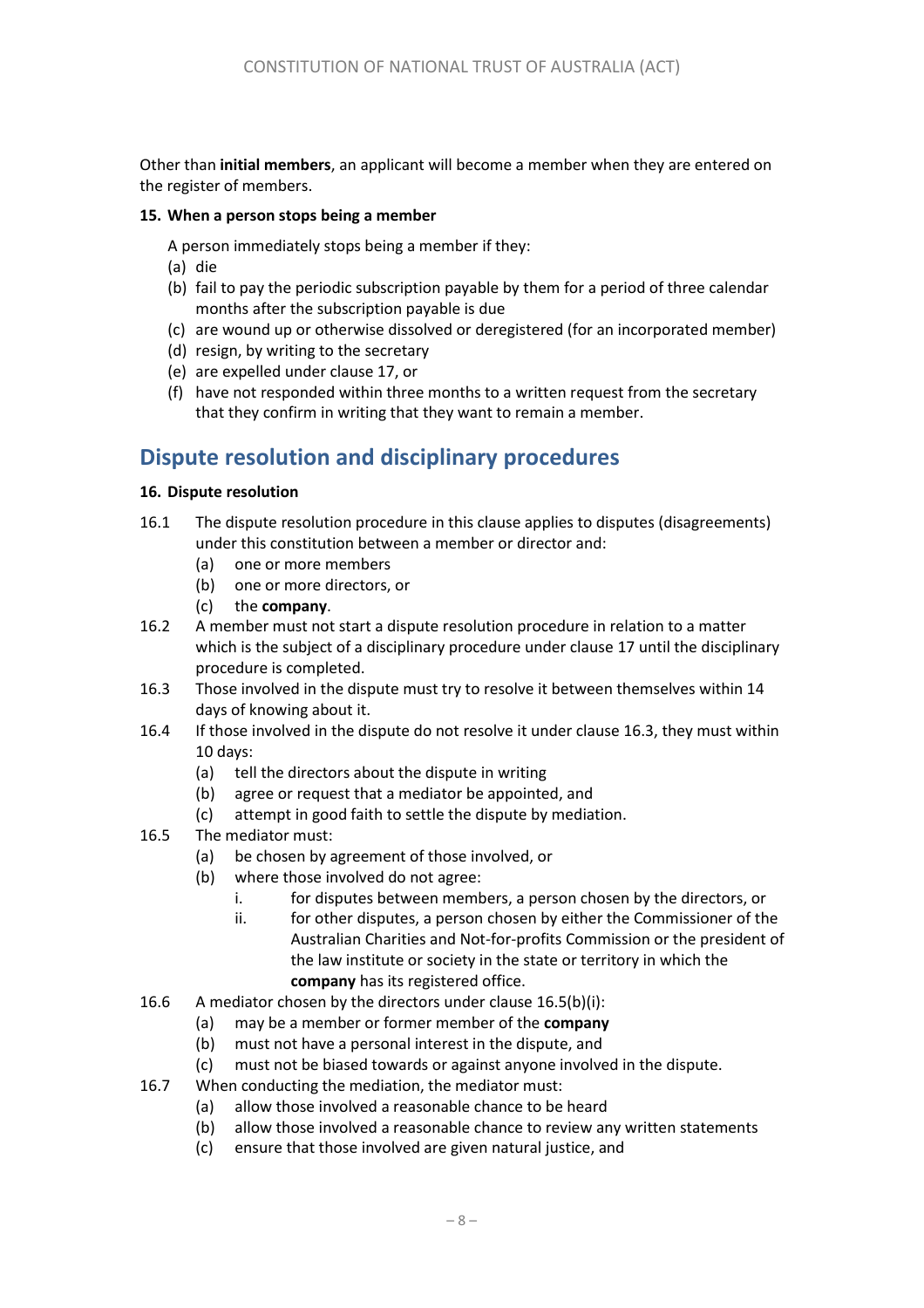Other than **initial members**, an applicant will become a member when they are entered on the register of members.

#### **15. When a person stops being a member**

A person immediately stops being a member if they:

- (a) die
- (b) fail to pay the periodic subscription payable by them for a period of three calendar months after the subscription payable is due
- (c) are wound up or otherwise dissolved or deregistered (for an incorporated member)
- (d) resign, by writing to the secretary
- (e) are expelled under clause [17,](#page-1-0) or
- (f) have not responded within three months to a written request from the secretary that they confirm in writing that they want to remain a member.

# **Dispute resolution and disciplinary procedures**

#### **16. Dispute resolution**

- 16.1 The dispute resolution procedure in this clause applies to disputes (disagreements) under this constitution between a member or director and:
	- (a) one or more members
	- (b) one or more directors, or
	- (c) the **company**.
- 16.2 A member must not start a dispute resolution procedure in relation to a matter which is the subject of a disciplinary procedure under clause 17 until the disciplinary procedure is completed.
- <span id="page-7-0"></span>16.3 Those involved in the dispute must try to resolve it between themselves within 14 days of knowing about it.
- 16.4 If those involved in the dispute do not resolve it under claus[e 16.3,](#page-7-0) they must within 10 days:
	- (a) tell the directors about the dispute in writing
	- (b) agree or request that a mediator be appointed, and
	- (c) attempt in good faith to settle the dispute by mediation.
- <span id="page-7-2"></span><span id="page-7-1"></span>16.5 The mediator must:
	- (a) be chosen by agreement of those involved, or
	- (b) where those involved do not agree:
		- i. for disputes between members, a person chosen by the directors, or
		- ii. for other disputes, a person chosen by either the Commissioner of the Australian Charities and Not-for-profits Commission or the president of the law institute or society in the state or territory in which the **company** has its registered office.
- 16.6 A mediator chosen by the directors under claus[e 16.5\(b\)](#page-7-1)[\(i\)](#page-7-2):
	- (a) may be a member or former member of the **company**
	- (b) must not have a personal interest in the dispute, and
	- (c) must not be biased towards or against anyone involved in the dispute.
- 16.7 When conducting the mediation, the mediator must:
	- (a) allow those involved a reasonable chance to be heard
	- (b) allow those involved a reasonable chance to review any written statements
	- (c) ensure that those involved are given natural justice, and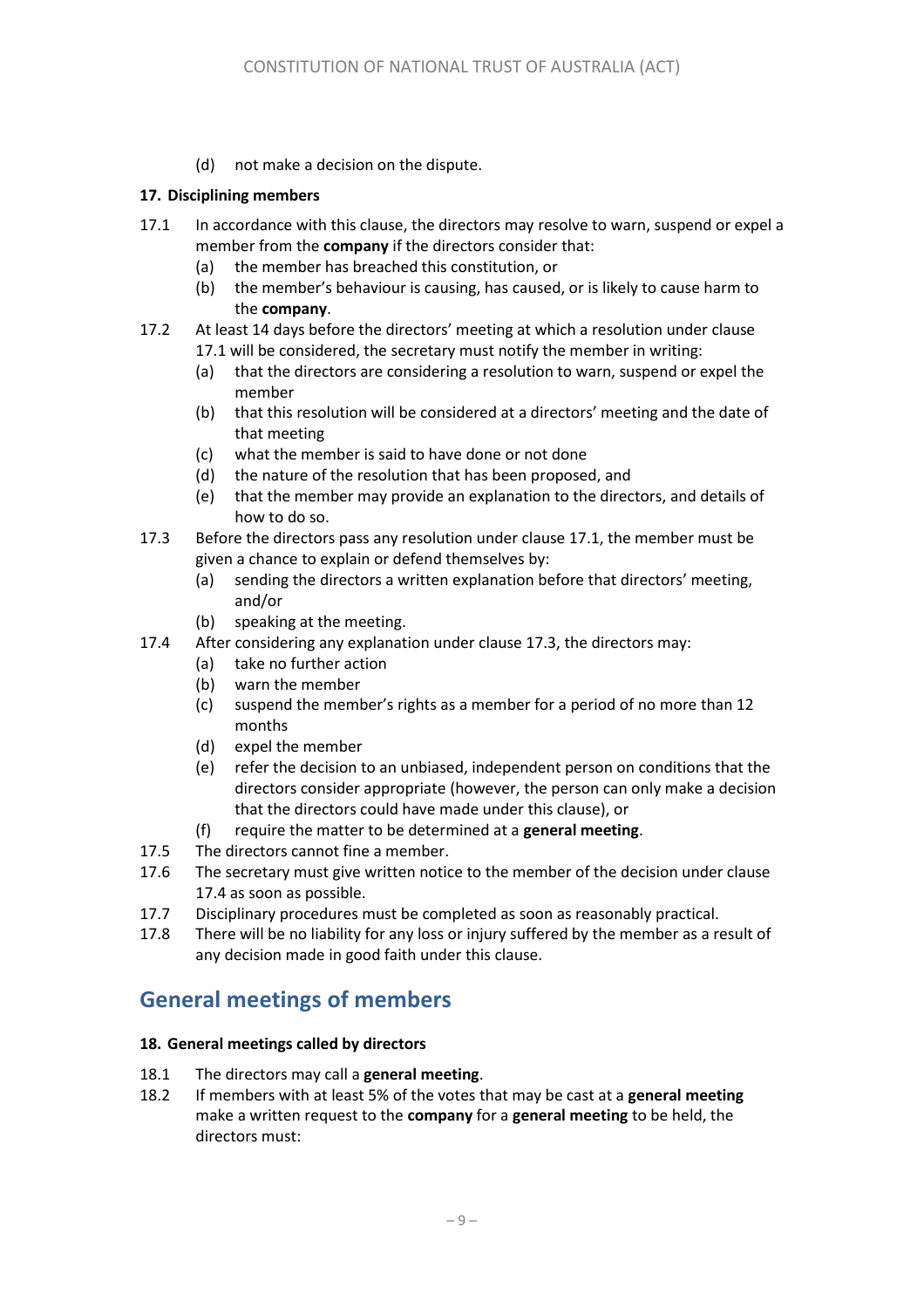(d) not make a decision on the dispute.

#### **17. Disciplining members**

- <span id="page-8-0"></span>17.1 In accordance with this clause, the directors may resolve to warn, suspend or expel a member from the **company** if the directors consider that:
	- (a) the member has breached this constitution, or
	- (b) the member's behaviour is causing, has caused, or is likely to cause harm to the **company**.
- 17.2 At least 14 days before the directors' meeting at which a resolution under clause [17.1](#page-8-0) will be considered, the secretary must notify the member in writing:
	- (a) that the directors are considering a resolution to warn, suspend or expel the member
	- (b) that this resolution will be considered at a directors' meeting and the date of that meeting
	- (c) what the member is said to have done or not done
	- (d) the nature of the resolution that has been proposed, and
	- (e) that the member may provide an explanation to the directors, and details of how to do so.
- <span id="page-8-1"></span>17.3 Before the directors pass any resolution under clause [17.1,](#page-8-0) the member must be given a chance to explain or defend themselves by:
	- (a) sending the directors a written explanation before that directors' meeting, and/or
	- (b) speaking at the meeting.
- <span id="page-8-2"></span>17.4 After considering any explanation under claus[e 17.3,](#page-8-1) the directors may:
	- (a) take no further action
	- (b) warn the member
	- (c) suspend the member's rights as a member for a period of no more than 12 months
	- (d) expel the member
	- (e) refer the decision to an unbiased, independent person on conditions that the directors consider appropriate (however, the person can only make a decision that the directors could have made under this clause), or
	- (f) require the matter to be determined at a **general meeting**.
- 17.5 The directors cannot fine a member.
- 17.6 The secretary must give written notice to the member of the decision under clause [17.4](#page-8-2) as soon as possible.
- 17.7 Disciplinary procedures must be completed as soon as reasonably practical.
- 17.8 There will be no liability for any loss or injury suffered by the member as a result of any decision made in good faith under this clause.

### **General meetings of members**

#### **18. General meetings called by directors**

- 18.1 The directors may call a **general meeting**.
- <span id="page-8-3"></span>18.2 If members with at least 5% of the votes that may be cast at a **general meeting**  make a written request to the **company** for a **general meeting** to be held, the directors must: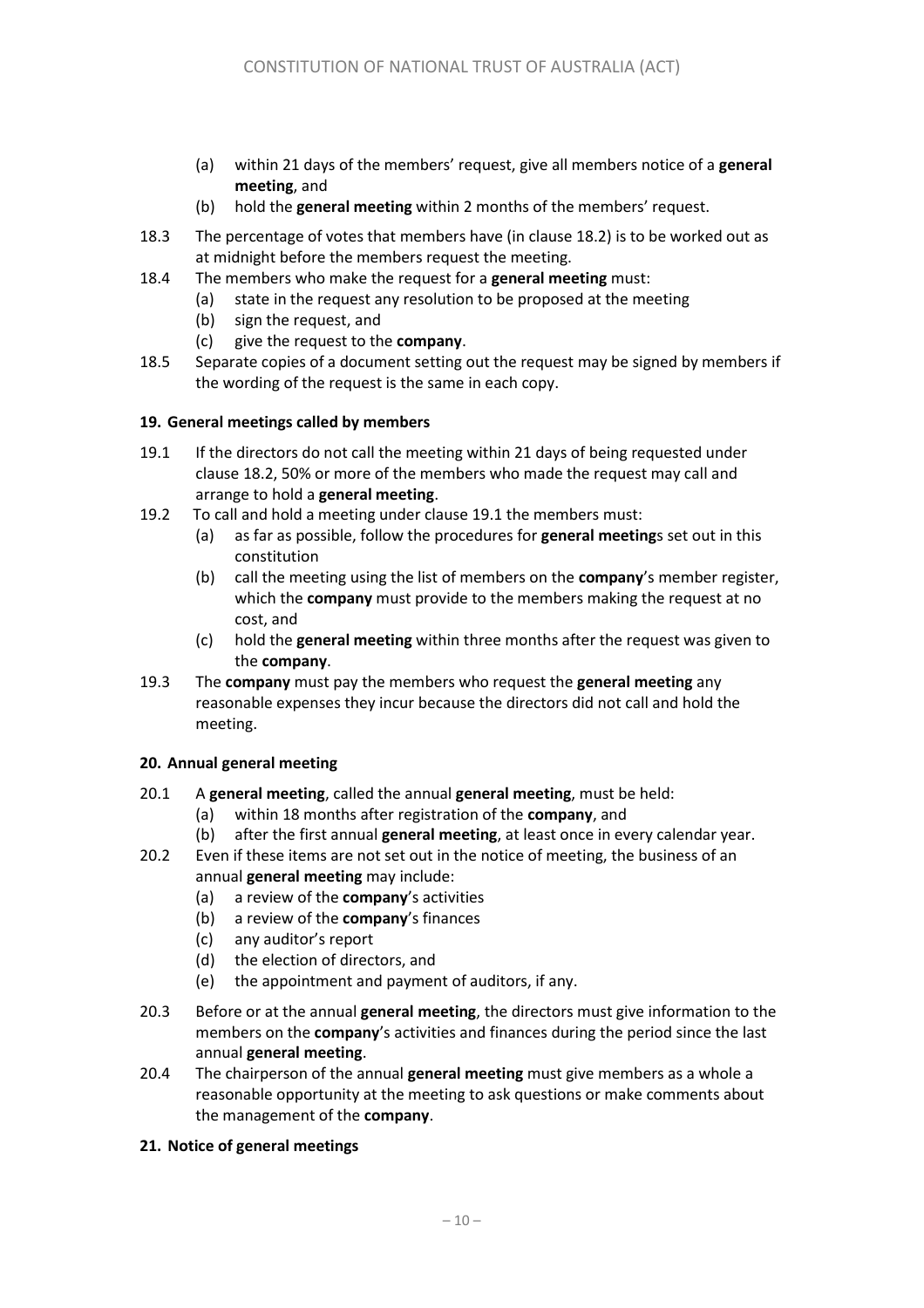- (a) within 21 days of the members' request, give all members notice of a **general meeting**, and
- (b) hold the **general meeting** within 2 months of the members' request.
- 18.3 The percentage of votes that members have (in clause [18.2\)](#page-8-3) is to be worked out as at midnight before the members request the meeting.
- 18.4 The members who make the request for a **general meeting** must:
	- (a) state in the request any resolution to be proposed at the meeting
	- (b) sign the request, and
	- (c) give the request to the **company**.
- 18.5 Separate copies of a document setting out the request may be signed by members if the wording of the request is the same in each copy.

#### **19. General meetings called by members**

- <span id="page-9-0"></span>19.1 If the directors do not call the meeting within 21 days of being requested under claus[e 18.2,](#page-8-3) 50% or more of the members who made the request may call and arrange to hold a **general meeting**.
- 19.2 To call and hold a meeting under clause [19.1](#page-9-0) the members must:
	- (a) as far as possible, follow the procedures for **general meeting**s set out in this constitution
	- (b) call the meeting using the list of members on the **company**'s member register, which the **company** must provide to the members making the request at no cost, and
	- (c) hold the **general meeting** within three months after the request was given to the **company**.
- 19.3 The **company** must pay the members who request the **general meeting** any reasonable expenses they incur because the directors did not call and hold the meeting.

#### **20. Annual general meeting**

- <span id="page-9-1"></span>20.1 A **general meeting**, called the annual **general meeting**, must be held:
	- (a) within 18 months after registration of the **company**, and
	- (b) after the first annual **general meeting**, at least once in every calendar year.
- 20.2 Even if these items are not set out in the notice of meeting, the business of an annual **general meeting** may include:
	- (a) a review of the **company**'s activities
	- (b) a review of the **company**'s finances
	- (c) any auditor's report
	- (d) the election of directors, and
	- (e) the appointment and payment of auditors, if any.
- 20.3 Before or at the annual **general meeting**, the directors must give information to the members on the **company**'s activities and finances during the period since the last annual **general meeting**.
- 20.4 The chairperson of the annual **general meeting** must give members as a whole a reasonable opportunity at the meeting to ask questions or make comments about the management of the **company**.

#### **21. Notice of general meetings**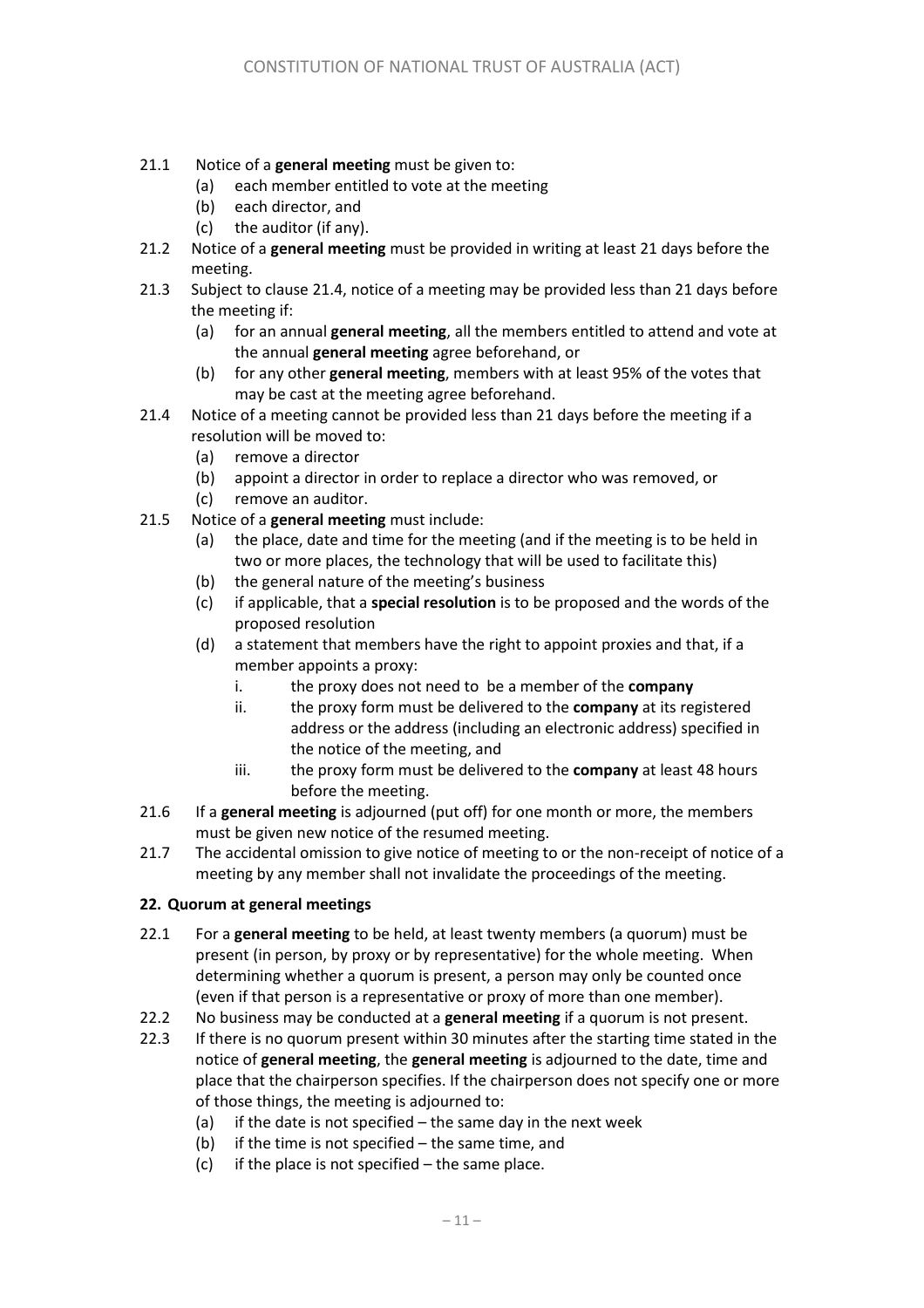- 21.1 Notice of a **general meeting** must be given to:
	- (a) each member entitled to vote at the meeting
	- (b) each director, and
	- (c) the auditor (if any).
- 21.2 Notice of a **general meeting** must be provided in writing at least 21 days before the meeting.
- 21.3 Subject to clause [21.4,](#page-10-0) notice of a meeting may be provided less than 21 days before the meeting if:
	- (a) for an annual **general meeting**, all the members entitled to attend and vote at the annual **general meeting** agree beforehand, or
	- (b) for any other **general meeting**, members with at least 95% of the votes that may be cast at the meeting agree beforehand.
- <span id="page-10-0"></span>21.4 Notice of a meeting cannot be provided less than 21 days before the meeting if a resolution will be moved to:
	- (a) remove a director
	- (b) appoint a director in order to replace a director who was removed, or
	- (c) remove an auditor.
- <span id="page-10-2"></span><span id="page-10-1"></span>21.5 Notice of a **general meeting** must include:
	- (a) the place, date and time for the meeting (and if the meeting is to be held in two or more places, the technology that will be used to facilitate this)
	- (b) the general nature of the meeting's business
	- (c) if applicable, that a **special resolution** is to be proposed and the words of the proposed resolution
	- (d) a statement that members have the right to appoint proxies and that, if a member appoints a proxy:
		- i. the proxy does not need to be a member of the **company**
		- ii. the proxy form must be delivered to the **company** at its registered address or the address (including an electronic address) specified in the notice of the meeting, and
		- iii. the proxy form must be delivered to the **company** at least 48 hours before the meeting.
- 21.6 If a **general meeting** is adjourned (put off) for one month or more, the members must be given new notice of the resumed meeting.
- 21.7 The accidental omission to give notice of meeting to or the non-receipt of notice of a meeting by any member shall not invalidate the proceedings of the meeting.

#### **22. Quorum at general meetings**

- 22.1 For a **general meeting** to be held, at least twenty members (a quorum) must be present (in person, by proxy or by representative) for the whole meeting. When determining whether a quorum is present, a person may only be counted once (even if that person is a representative or proxy of more than one member).
- 22.2 No business may be conducted at a **general meeting** if a quorum is not present.
- 22.3 If there is no quorum present within 30 minutes after the starting time stated in the notice of **general meeting**, the **general meeting** is adjourned to the date, time and place that the chairperson specifies. If the chairperson does not specify one or more of those things, the meeting is adjourned to:
	- (a) if the date is not specified  $-$  the same day in the next week
	- (b) if the time is not specified the same time, and
	- (c) if the place is not specified the same place.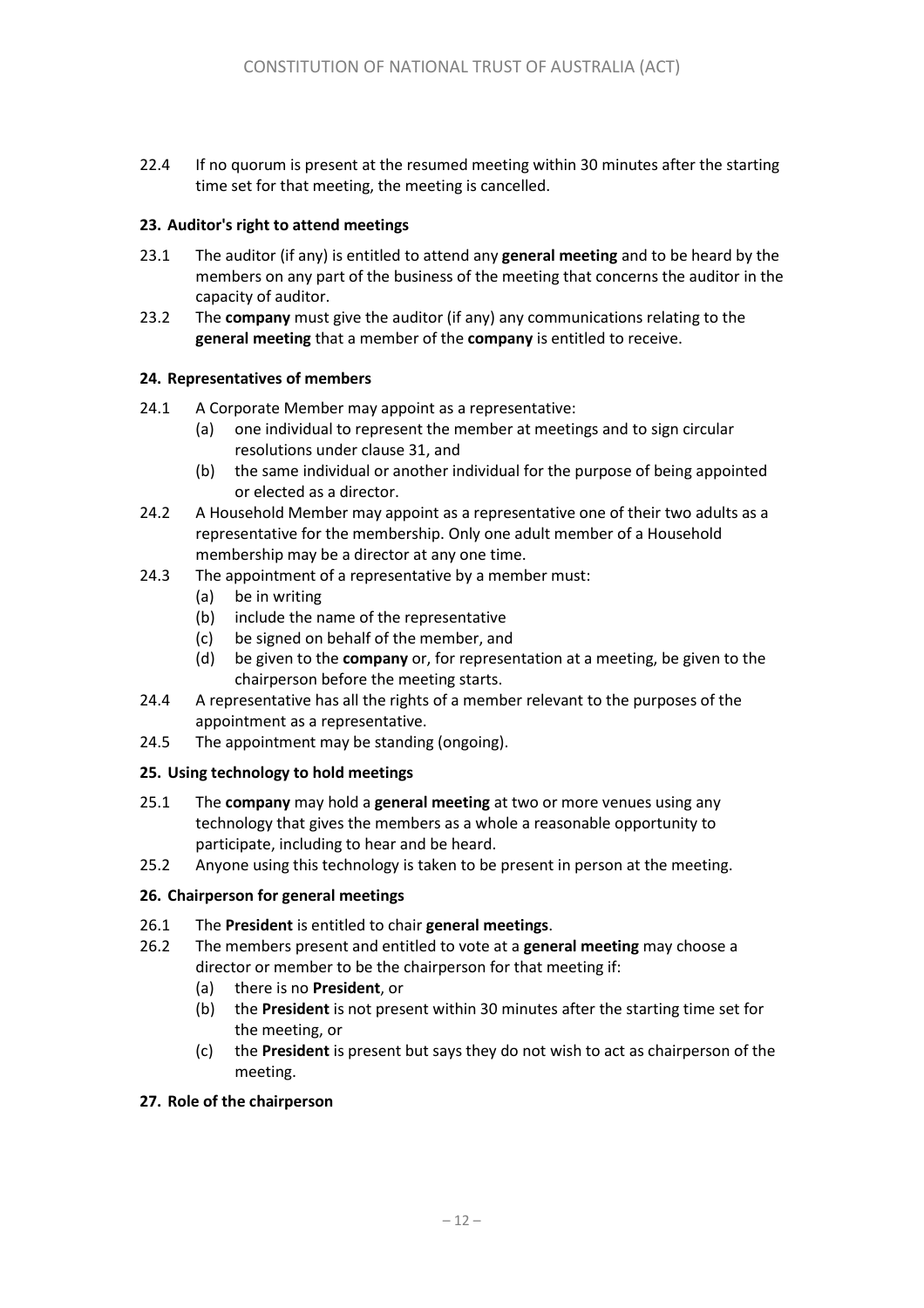22.4 If no quorum is present at the resumed meeting within 30 minutes after the starting time set for that meeting, the meeting is cancelled.

#### **23. Auditor's right to attend meetings**

- 23.1 The auditor (if any) is entitled to attend any **general meeting** and to be heard by the members on any part of the business of the meeting that concerns the auditor in the capacity of auditor.
- 23.2 The **company** must give the auditor (if any) any communications relating to the **general meeting** that a member of the **company** is entitled to receive.

#### **24. Representatives of members**

- 24.1 A Corporate Member may appoint as a representative:
	- (a) one individual to represent the member at meetings and to sign circular resolutions under clause 31, and
	- (b) the same individual or another individual for the purpose of being appointed or elected as a director.
- 24.2 A Household Member may appoint as a representative one of their two adults as a representative for the membership. Only one adult member of a Household membership may be a director at any one time.
- 24.3 The appointment of a representative by a member must:
	- (a) be in writing
	- (b) include the name of the representative
	- (c) be signed on behalf of the member, and
	- (d) be given to the **company** or, for representation at a meeting, be given to the chairperson before the meeting starts.
- 24.4 A representative has all the rights of a member relevant to the purposes of the appointment as a representative.
- 24.5 The appointment may be standing (ongoing).

#### **25. Using technology to hold meetings**

- 25.1 The **company** may hold a **general meeting** at two or more venues using any technology that gives the members as a whole a reasonable opportunity to participate, including to hear and be heard.
- 25.2 Anyone using this technology is taken to be present in person at the meeting.

#### **26. Chairperson for general meetings**

- 26.1 The **President** is entitled to chair **general meetings**.
- <span id="page-11-0"></span>26.2 The members present and entitled to vote at a **general meeting** may choose a director or member to be the chairperson for that meeting if:
	- (a) there is no **President**, or
	- (b) the **President** is not present within 30 minutes after the starting time set for the meeting, or
	- (c) the **President** is present but says they do not wish to act as chairperson of the meeting.

#### **27. Role of the chairperson**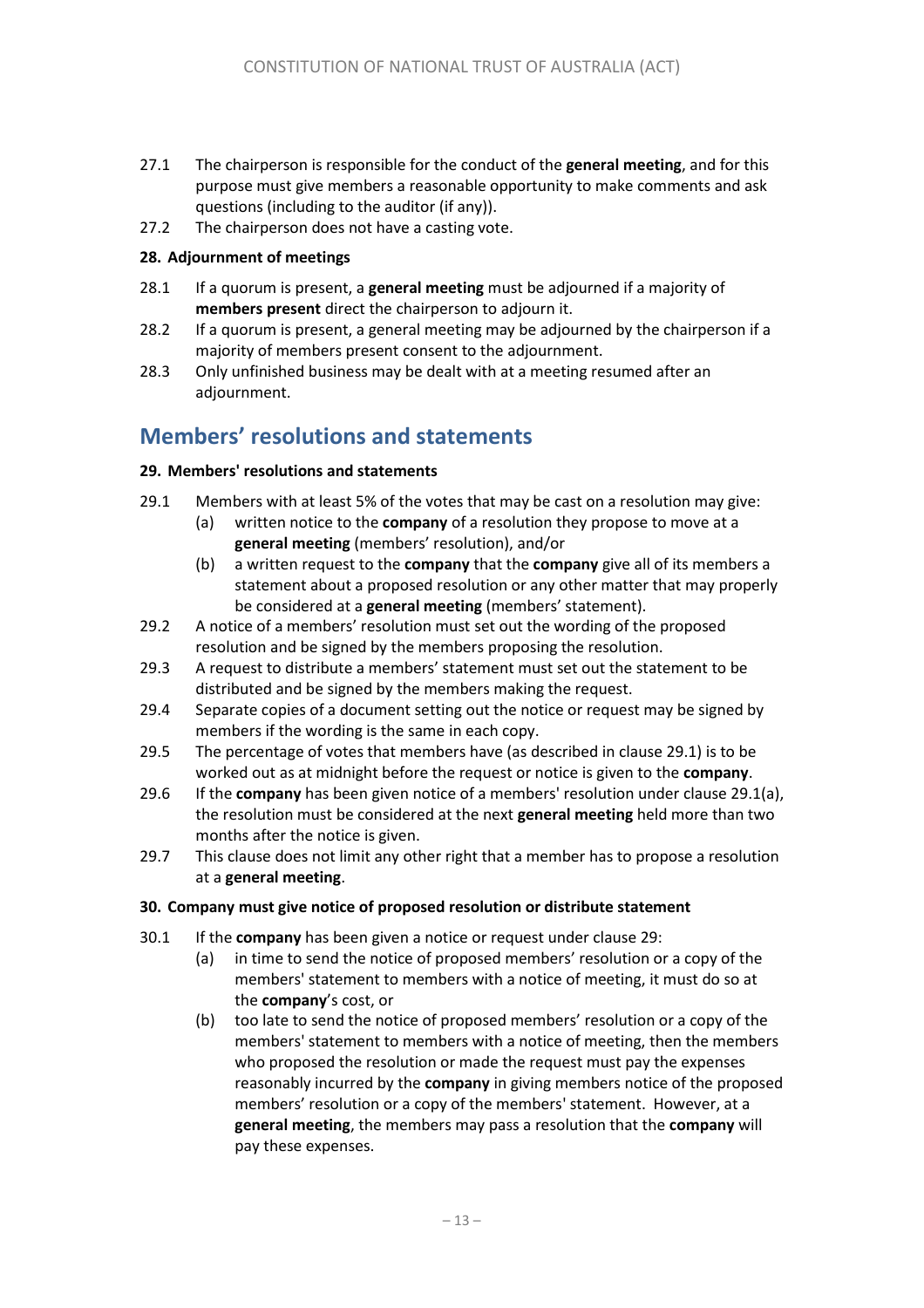- 27.1 The chairperson is responsible for the conduct of the **general meeting**, and for this purpose must give members a reasonable opportunity to make comments and ask questions (including to the auditor (if any)).
- 27.2 The chairperson does not have a casting vote.

#### **28. Adjournment of meetings**

- 28.1 If a quorum is present, a **general meeting** must be adjourned if a majority of **members present** direct the chairperson to adjourn it.
- 28.2 If a quorum is present, a general meeting may be adjourned by the chairperson if a majority of members present consent to the adjournment.
- 28.3 Only unfinished business may be dealt with at a meeting resumed after an adjournment.

# **Members' resolutions and statements**

#### **29. Members' resolutions and statements**

- <span id="page-12-1"></span><span id="page-12-0"></span>29.1 Members with at least 5% of the votes that may be cast on a resolution may give:
	- (a) written notice to the **company** of a resolution they propose to move at a **general meeting** (members' resolution), and/or
	- (b) a written request to the **company** that the **company** give all of its members a statement about a proposed resolution or any other matter that may properly be considered at a **general meeting** (members' statement).
- 29.2 A notice of a members' resolution must set out the wording of the proposed resolution and be signed by the members proposing the resolution.
- 29.3 A request to distribute a members' statement must set out the statement to be distributed and be signed by the members making the request.
- 29.4 Separate copies of a document setting out the notice or request may be signed by members if the wording is the same in each copy.
- 29.5 The percentage of votes that members have (as described in clause [29.1\)](#page-12-0) is to be worked out as at midnight before the request or notice is given to the **company**.
- 29.6 If the **company** has been given notice of a members' resolution under claus[e 29.1\(a\),](#page-12-1) the resolution must be considered at the next **general meeting** held more than two months after the notice is given.
- 29.7 This clause does not limit any other right that a member has to propose a resolution at a **general meeting**.

#### **30. Company must give notice of proposed resolution or distribute statement**

- <span id="page-12-2"></span>30.1 If the **company** has been given a notice or request under clause [29:](#page-1-1)
	- (a) in time to send the notice of proposed members' resolution or a copy of the members' statement to members with a notice of meeting, it must do so at the **company**'s cost, or
	- (b) too late to send the notice of proposed members' resolution or a copy of the members' statement to members with a notice of meeting, then the members who proposed the resolution or made the request must pay the expenses reasonably incurred by the **company** in giving members notice of the proposed members' resolution or a copy of the members' statement. However, at a **general meeting**, the members may pass a resolution that the **company** will pay these expenses.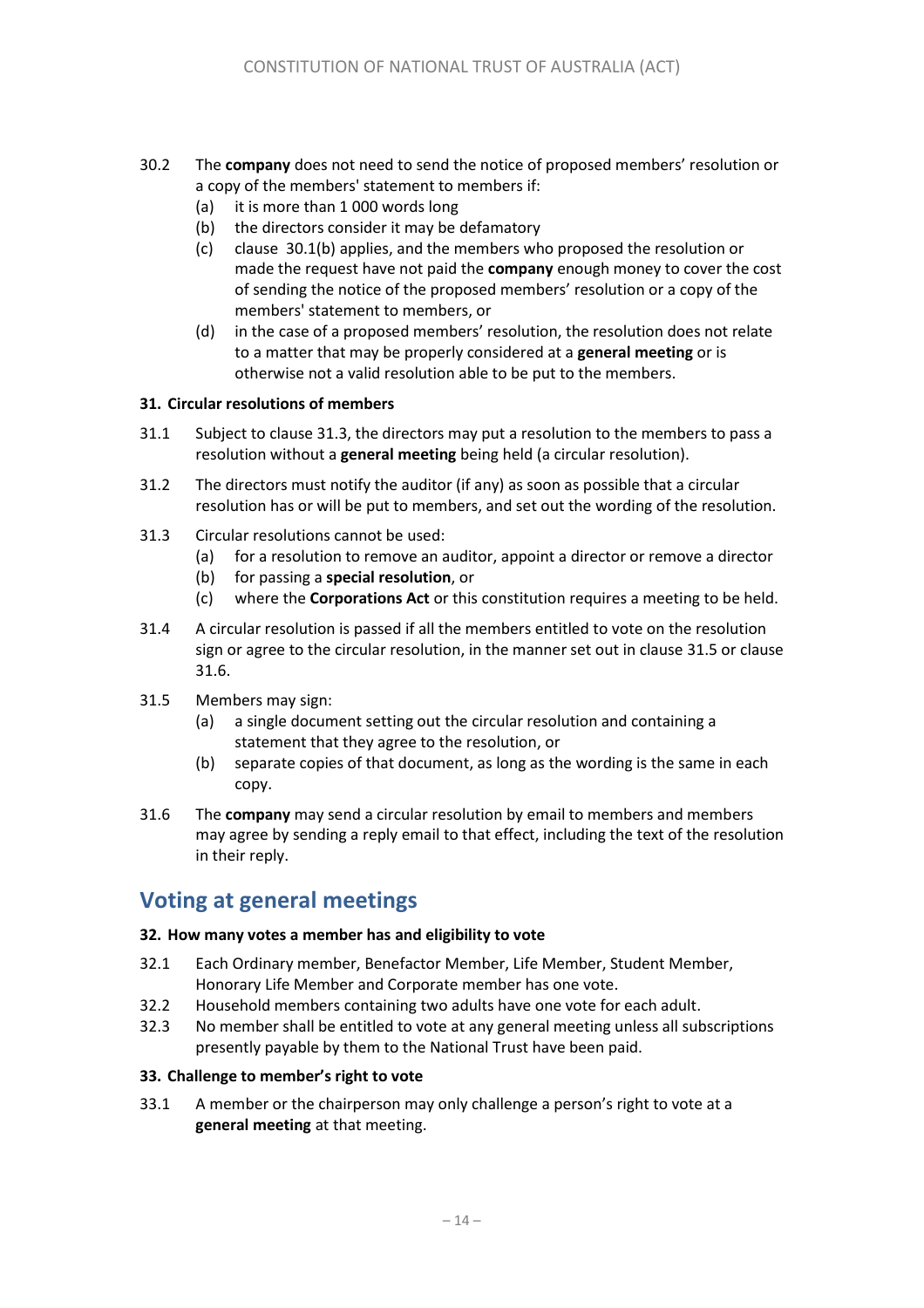- 30.2 The **company** does not need to send the notice of proposed members' resolution or a copy of the members' statement to members if:
	- (a) it is more than 1 000 words long
	- (b) the directors consider it may be defamatory
	- (c) clause [30.1\(b\)](#page-12-2) applies, and the members who proposed the resolution or made the request have not paid the **company** enough money to cover the cost of sending the notice of the proposed members' resolution or a copy of the members' statement to members, or
	- (d) in the case of a proposed members' resolution, the resolution does not relate to a matter that may be properly considered at a **general meeting** or is otherwise not a valid resolution able to be put to the members.

#### **31. Circular resolutions of members**

- 31.1 Subject to clause [31.3,](#page-13-0) the directors may put a resolution to the members to pass a resolution without a **general meeting** being held (a circular resolution).
- 31.2 The directors must notify the auditor (if any) as soon as possible that a circular resolution has or will be put to members, and set out the wording of the resolution.
- <span id="page-13-0"></span>31.3 Circular resolutions cannot be used:
	- (a) for a resolution to remove an auditor, appoint a director or remove a director
	- (b) for passing a **special resolution**, or
	- (c) where the **Corporations Act** or this constitution requires a meeting to be held.
- 31.4 A circular resolution is passed if all the members entitled to vote on the resolution sign or agree to the circular resolution, in the manner set out in clause [31.5](#page-13-1) or clause 31.6.
- <span id="page-13-1"></span>31.5 Members may sign:
	- (a) a single document setting out the circular resolution and containing a statement that they agree to the resolution, or
	- (b) separate copies of that document, as long as the wording is the same in each copy.
- 31.6 The **company** may send a circular resolution by email to members and members may agree by sending a reply email to that effect, including the text of the resolution in their reply.

### **Voting at general meetings**

#### **32. How many votes a member has and eligibility to vote**

- 32.1 Each Ordinary member, Benefactor Member, Life Member, Student Member, Honorary Life Member and Corporate member has one vote.
- 32.2 Household members containing two adults have one vote for each adult.
- 32.3 No member shall be entitled to vote at any general meeting unless all subscriptions presently payable by them to the National Trust have been paid.

#### **33. Challenge to member's right to vote**

<span id="page-13-2"></span>33.1 A member or the chairperson may only challenge a person's right to vote at a **general meeting** at that meeting.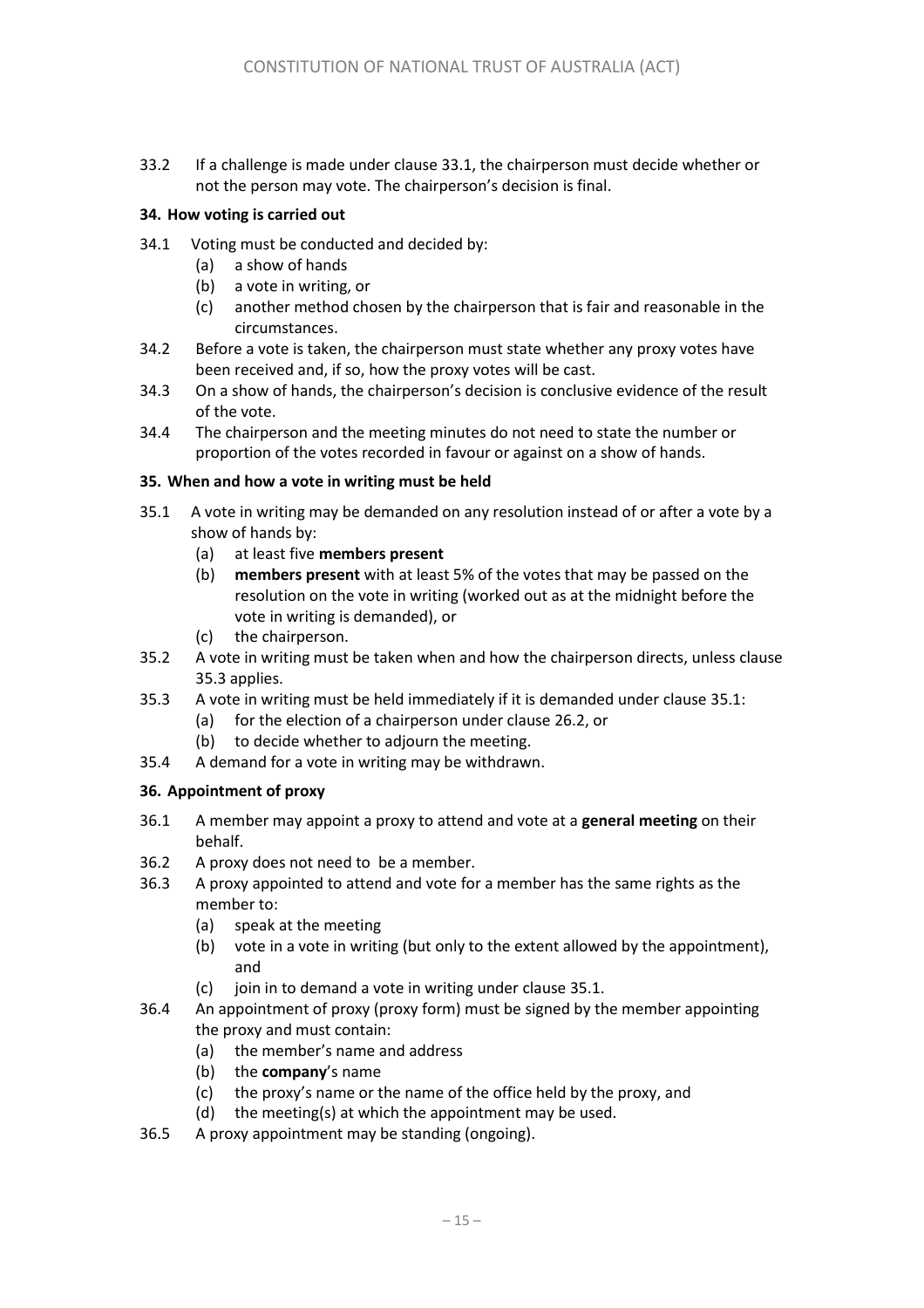33.2 If a challenge is made under clause [33.1,](#page-13-2) the chairperson must decide whether or not the person may vote. The chairperson's decision is final.

#### **34. How voting is carried out**

- 34.1 Voting must be conducted and decided by:
	- (a) a show of hands
	- (b) a vote in writing, or
	- (c) another method chosen by the chairperson that is fair and reasonable in the circumstances.
- 34.2 Before a vote is taken, the chairperson must state whether any proxy votes have been received and, if so, how the proxy votes will be cast.
- 34.3 On a show of hands, the chairperson's decision is conclusive evidence of the result of the vote.
- 34.4 The chairperson and the meeting minutes do not need to state the number or proportion of the votes recorded in favour or against on a show of hands.

#### **35. When and how a vote in writing must be held**

- <span id="page-14-1"></span>35.1 A vote in writing may be demanded on any resolution instead of or after a vote by a show of hands by:
	- (a) at least five **members present**
	- (b) **members present** with at least 5% of the votes that may be passed on the resolution on the vote in writing (worked out as at the midnight before the vote in writing is demanded), or
	- (c) the chairperson.
- 35.2 A vote in writing must be taken when and how the chairperson directs, unless clause [35.3](#page-14-0) applies.
- <span id="page-14-0"></span>35.3 A vote in writing must be held immediately if it is demanded under claus[e 35.1:](#page-14-1)
	- (a) for the election of a chairperson under clause [26.2,](#page-11-0) or
	- (b) to decide whether to adjourn the meeting.
- 35.4 A demand for a vote in writing may be withdrawn.

#### **36. Appointment of proxy**

- 36.1 A member may appoint a proxy to attend and vote at a **general meeting** on their behalf.
- 36.2 A proxy does not need to be a member.
- 36.3 A proxy appointed to attend and vote for a member has the same rights as the member to:
	- (a) speak at the meeting
	- (b) vote in a vote in writing (but only to the extent allowed by the appointment), and
	- (c) join in to demand a vote in writing under clause [35.1.](#page-14-1)
- 36.4 An appointment of proxy (proxy form) must be signed by the member appointing the proxy and must contain:
	- (a) the member's name and address
	- (b) the **company**'s name
	- (c) the proxy's name or the name of the office held by the proxy, and
	- (d) the meeting(s) at which the appointment may be used.
- 36.5 A proxy appointment may be standing (ongoing).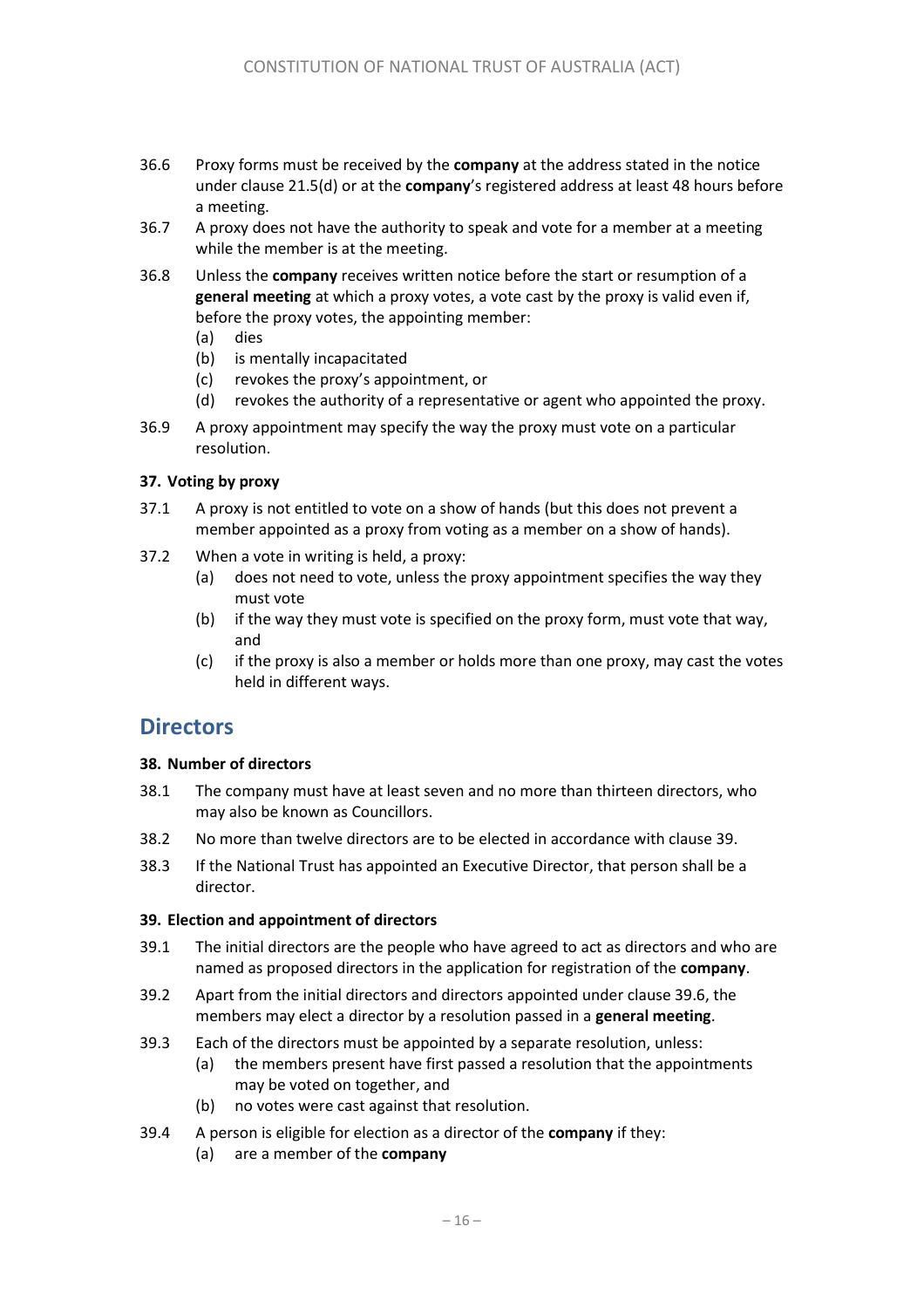- <span id="page-15-0"></span>36.6 Proxy forms must be received by the **company** at the address stated in the notice under claus[e 21.5\(d\)](#page-10-1) or at the **company**'s registered address at least 48 hours before a meeting.
- 36.7 A proxy does not have the authority to speak and vote for a member at a meeting while the member is at the meeting.
- 36.8 Unless the **company** receives written notice before the start or resumption of a **general meeting** at which a proxy votes, a vote cast by the proxy is valid even if, before the proxy votes, the appointing member:
	- (a) dies
	- (b) is mentally incapacitated
	- (c) revokes the proxy's appointment, or
	- (d) revokes the authority of a representative or agent who appointed the proxy.
- 36.9 A proxy appointment may specify the way the proxy must vote on a particular resolution.

#### **37. Voting by proxy**

- 37.1 A proxy is not entitled to vote on a show of hands (but this does not prevent a member appointed as a proxy from voting as a member on a show of hands).
- 37.2 When a vote in writing is held, a proxy:
	- (a) does not need to vote, unless the proxy appointment specifies the way they must vote
	- (b) if the way they must vote is specified on the proxy form, must vote that way, and
	- (c) if the proxy is also a member or holds more than one proxy, may cast the votes held in different ways.

### **Directors**

#### **38. Number of directors**

- 38.1 The company must have at least seven and no more than thirteen directors, who may also be known as Councillors.
- 38.2 No more than twelve directors are to be elected in accordance with clause 39.
- 38.3 If the National Trust has appointed an Executive Director, that person shall be a director.

#### **39. Election and appointment of directors**

- 39.1 The initial directors are the people who have agreed to act as directors and who are named as proposed directors in the application for registration of the **company**.
- 39.2 Apart from the initial directors and directors appointed under clause [39.](#page-1-2)6, the members may elect a director by a resolution passed in a **general meeting**.
- 39.3 Each of the directors must be appointed by a separate resolution, unless:
	- (a) the members present have first passed a resolution that the appointments may be voted on together, and
	- (b) no votes were cast against that resolution.
- 39.4 A person is eligible for election as a director of the **company** if they:
	- (a) are a member of the **company**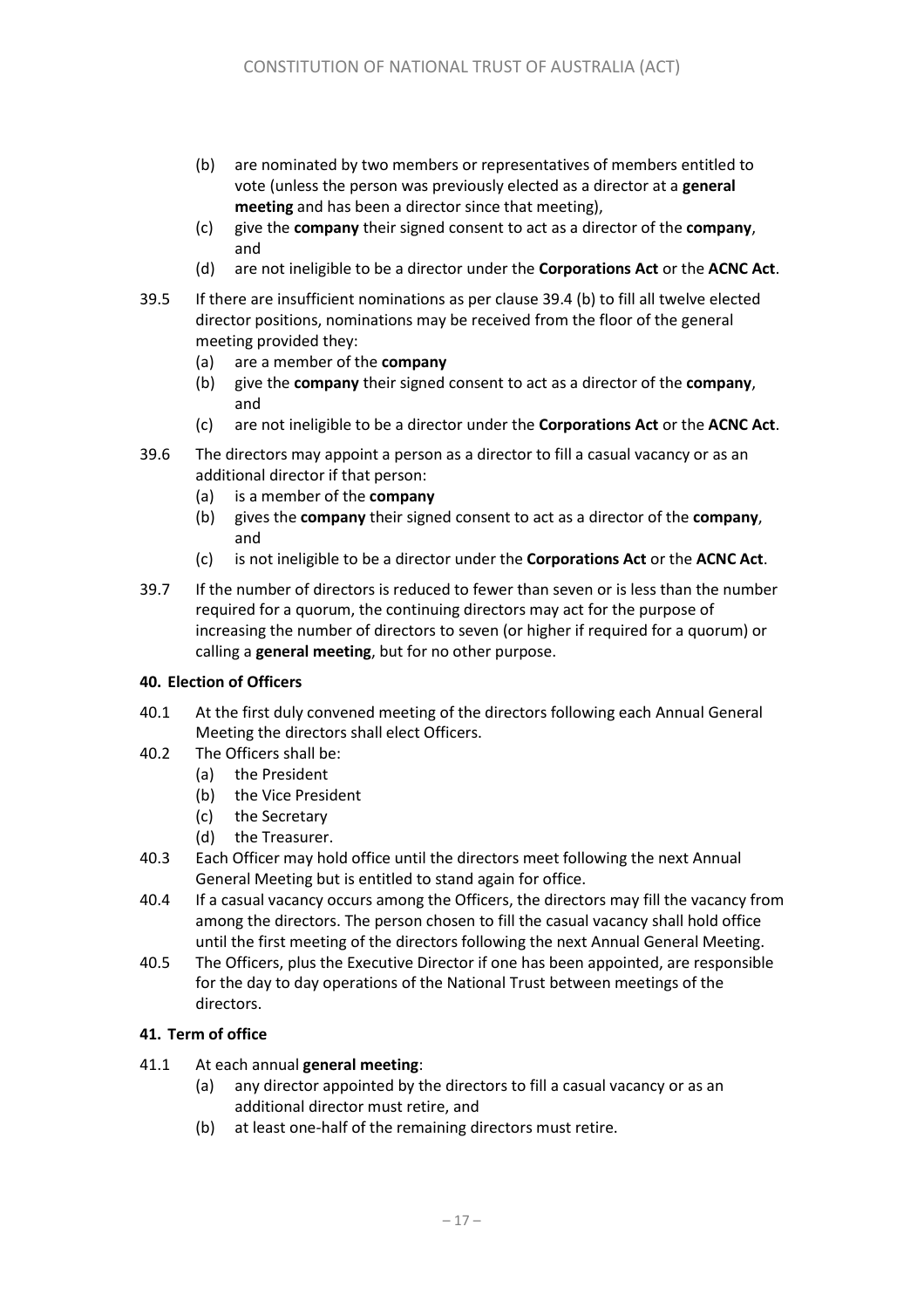- (b) are nominated by two members or representatives of members entitled to vote (unless the person was previously elected as a director at a **general meeting** and has been a director since that meeting),
- (c) give the **company** their signed consent to act as a director of the **company**, and
- (d) are not ineligible to be a director under the **Corporations Act** or the **ACNC Act**.
- 39.5 If there are insufficient nominations as per clause 39.4 (b) to fill all twelve elected director positions, nominations may be received from the floor of the general meeting provided they:
	- (a) are a member of the **company**
	- (b) give the **company** their signed consent to act as a director of the **company**, and
	- (c) are not ineligible to be a director under the **Corporations Act** or the **ACNC Act**.
- 39.6 The directors may appoint a person as a director to fill a casual vacancy or as an additional director if that person:
	- (a) is a member of the **company**
	- (b) gives the **company** their signed consent to act as a director of the **company**, and
	- (c) is not ineligible to be a director under the **Corporations Act** or the **ACNC Act**.
- 39.7 If the number of directors is reduced to fewer than seven or is less than the number required for a quorum, the continuing directors may act for the purpose of increasing the number of directors to seven (or higher if required for a quorum) or calling a **general meeting**, but for no other purpose.

#### **40. Election of Officers**

- 40.1 At the first duly convened meeting of the directors following each Annual General Meeting the directors shall elect Officers.
- 40.2 The Officers shall be:
	- (a) the President
	- (b) the Vice President
	- (c) the Secretary
	- (d) the Treasurer.
- 40.3 Each Officer may hold office until the directors meet following the next Annual General Meeting but is entitled to stand again for office.
- 40.4 If a casual vacancy occurs among the Officers, the directors may fill the vacancy from among the directors. The person chosen to fill the casual vacancy shall hold office until the first meeting of the directors following the next Annual General Meeting.
- 40.5 The Officers, plus the Executive Director if one has been appointed, are responsible for the day to day operations of the National Trust between meetings of the directors.

#### **41. Term of office**

- <span id="page-16-1"></span><span id="page-16-0"></span>41.1 At each annual **general meeting**:
	- (a) any director appointed by the directors to fill a casual vacancy or as an additional director must retire, and
	- (b) at least one-half of the remaining directors must retire.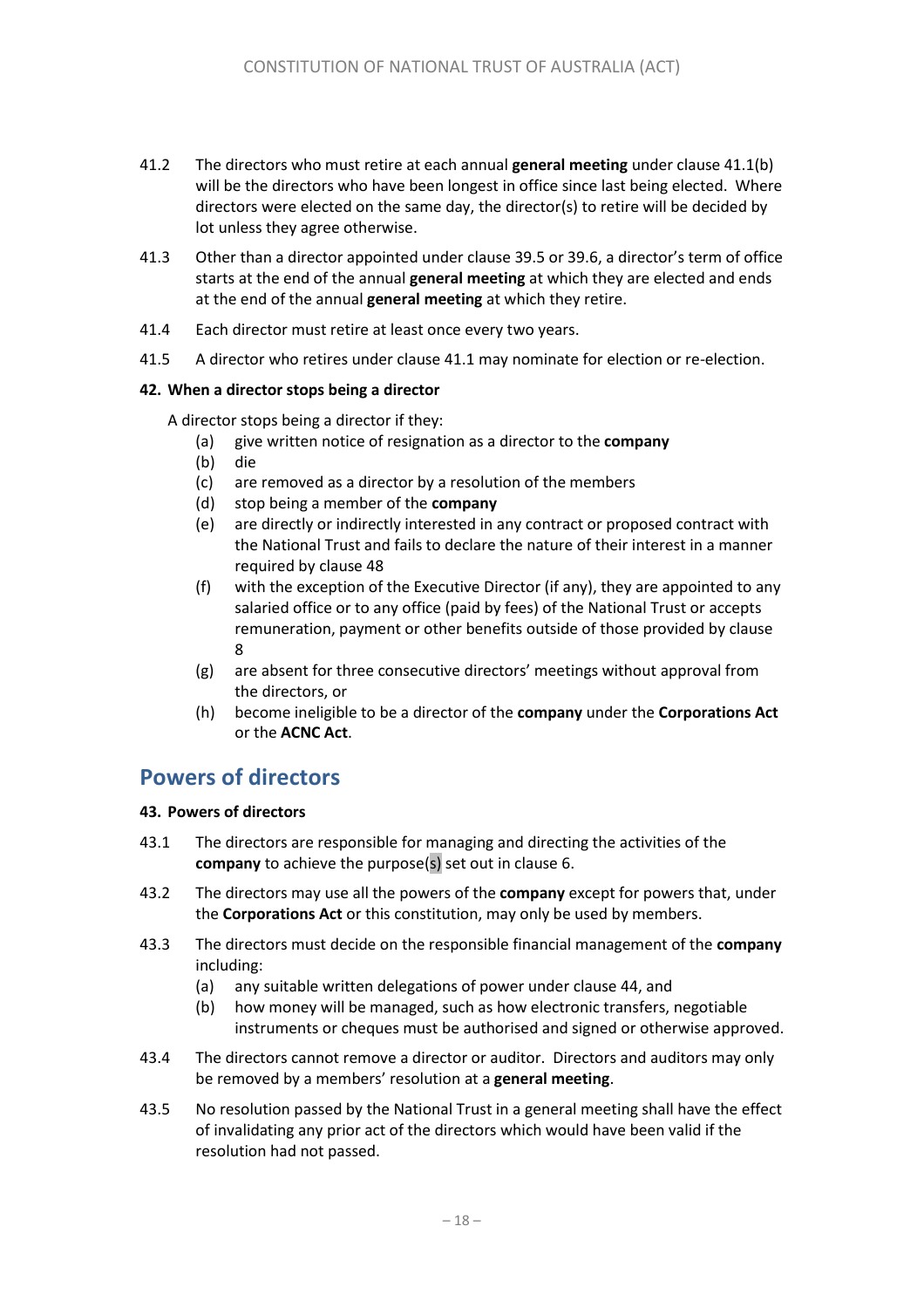- 41.2 The directors who must retire at each annual **general meeting** under clause [41.1\(b\)](#page-16-0) will be the directors who have been longest in office since last being elected. Where directors were elected on the same day, the director(s) to retire will be decided by lot unless they agree otherwise.
- 41.3 Other than a director appointed under claus[e 39.](#page-1-2)5 or 39.6, a director's term of office starts at the end of the annual **general meeting** at which they are elected and ends at the end of the annual **general meeting** at which they retire.
- 41.4 Each director must retire at least once every two years.
- 41.5 A director who retires under clause [41.1](#page-16-1) may nominate for election or re-election.

#### **42. When a director stops being a director**

A director stops being a director if they:

- (a) give written notice of resignation as a director to the **company**
- (b) die
- (c) are removed as a director by a resolution of the members
- (d) stop being a member of the **company**
- (e) are directly or indirectly interested in any contract or proposed contract with the National Trust and fails to declare the nature of their interest in a manner required by clause 48
- (f) with the exception of the Executive Director (if any), they are appointed to any salaried office or to any office (paid by fees) of the National Trust or accepts remuneration, payment or other benefits outside of those provided by clause 8
- (g) are absent for three consecutive directors' meetings without approval from the directors, or
- (h) become ineligible to be a director of the **company** under the **Corporations Act** or the **ACNC Act**.

### **Powers of directors**

#### **43. Powers of directors**

- 43.1 The directors are responsible for managing and directing the activities of the **company** to achieve the purpose(s) set out in clause [6.](#page-1-3)
- 43.2 The directors may use all the powers of the **company** except for powers that, under the **Corporations Act** or this constitution, may only be used by members.
- 43.3 The directors must decide on the responsible financial management of the **company** including:
	- (a) any suitable written delegations of power under clause [44,](#page-1-4) and
	- (b) how money will be managed, such as how electronic transfers, negotiable instruments or cheques must be authorised and signed or otherwise approved.
- 43.4 The directors cannot remove a director or auditor. Directors and auditors may only be removed by a members' resolution at a **general meeting**.
- 43.5 No resolution passed by the National Trust in a general meeting shall have the effect of invalidating any prior act of the directors which would have been valid if the resolution had not passed.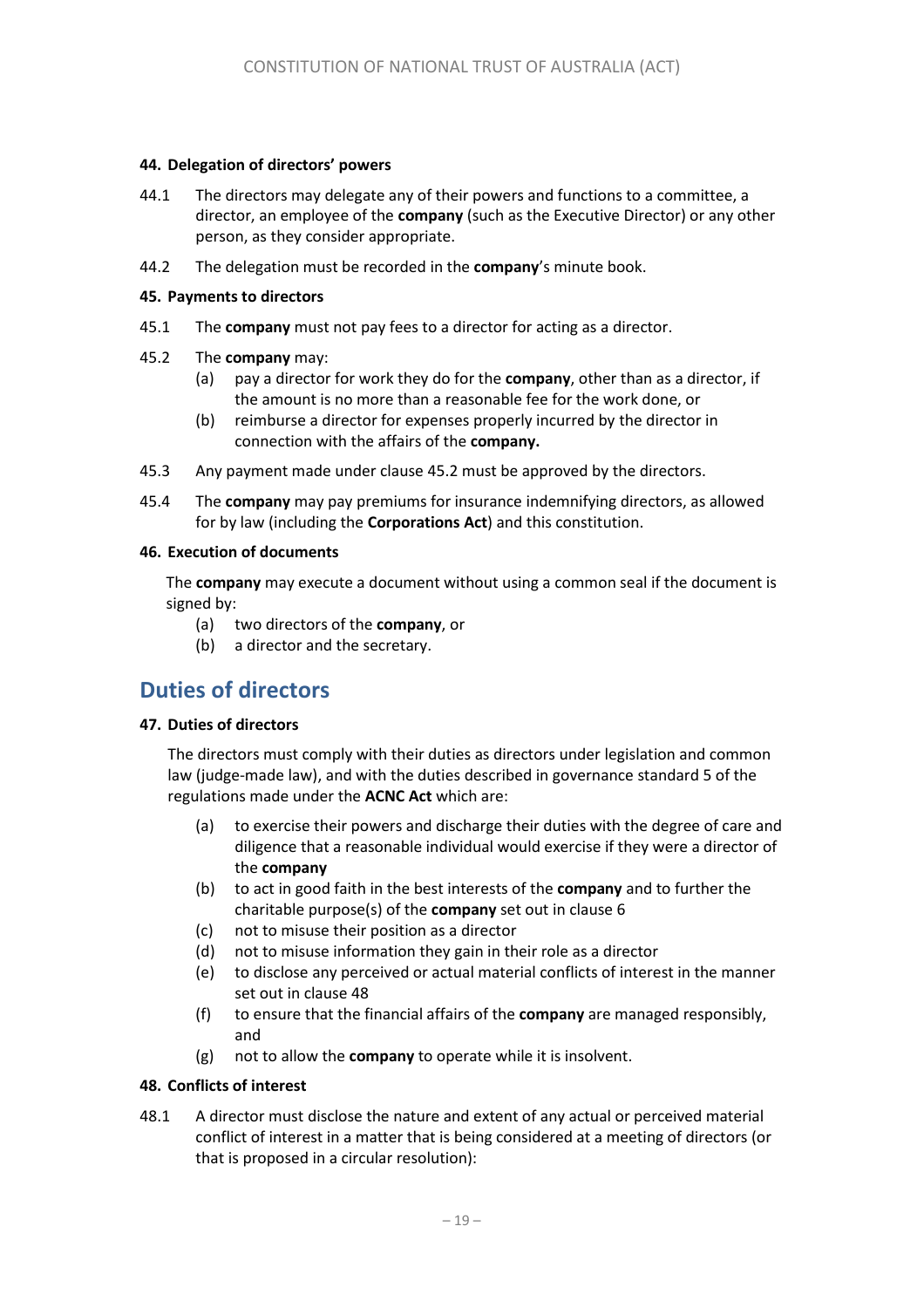#### **44. Delegation of directors' powers**

- 44.1 The directors may delegate any of their powers and functions to a committee, a director, an employee of the **company** (such as the Executive Director) or any other person, as they consider appropriate.
- 44.2 The delegation must be recorded in the **company**'s minute book.

#### **45. Payments to directors**

- 45.1 The **company** must not pay fees to a director for acting as a director.
- <span id="page-18-0"></span>45.2 The **company** may:
	- (a) pay a director for work they do for the **company**, other than as a director, if the amount is no more than a reasonable fee for the work done, or
	- (b) reimburse a director for expenses properly incurred by the director in connection with the affairs of the **company.**
- 45.3 Any payment made under clause [45.2](#page-18-0) must be approved by the directors.
- 45.4 The **company** may pay premiums for insurance indemnifying directors, as allowed for by law (including the **Corporations Act**) and this constitution.

#### **46. Execution of documents**

The **company** may execute a document without using a common seal if the document is signed by:

- (a) two directors of the **company**, or
- (b) a director and the secretary.

# **Duties of directors**

#### **47. Duties of directors**

The directors must comply with their duties as directors under legislation and common law (judge-made law), and with the duties described in governance standard 5 of the regulations made under the **ACNC Act** which are:

- (a) to exercise their powers and discharge their duties with the degree of care and diligence that a reasonable individual would exercise if they were a director of the **company**
- (b) to act in good faith in the best interests of the **company** and to further the charitable purpose(s) of the **company** set out in clause [6](#page-1-3)
- (c) not to misuse their position as a director
- (d) not to misuse information they gain in their role as a director
- (e) to disclose any perceived or actual material conflicts of interest in the manner set out in clause [48](#page-18-1)
- (f) to ensure that the financial affairs of the **company** are managed responsibly, and
- (g) not to allow the **company** to operate while it is insolvent.

#### <span id="page-18-1"></span>**48. Conflicts of interest**

48.1 A director must disclose the nature and extent of any actual or perceived material conflict of interest in a matter that is being considered at a meeting of directors (or that is proposed in a circular resolution):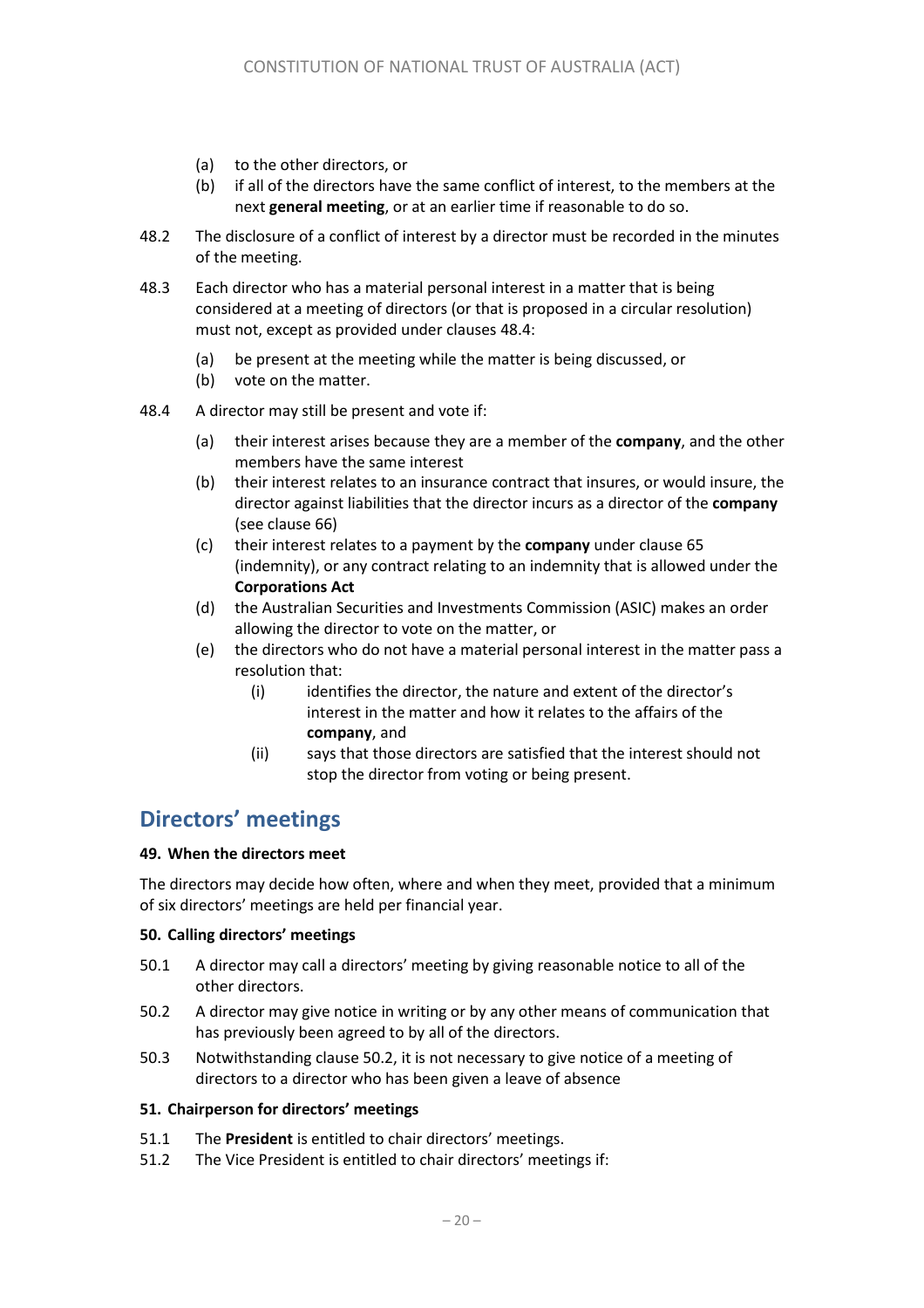- (a) to the other directors, or
- (b) if all of the directors have the same conflict of interest, to the members at the next **general meeting**, or at an earlier time if reasonable to do so.
- 48.2 The disclosure of a conflict of interest by a director must be recorded in the minutes of the meeting.
- 48.3 Each director who has a material personal interest in a matter that is being considered at a meeting of directors (or that is proposed in a circular resolution) must not, except as provided under clauses [48.4:](#page-19-0)
	- (a) be present at the meeting while the matter is being discussed, or
	- (b) vote on the matter.
- <span id="page-19-0"></span>48.4 A director may still be present and vote if:
	- (a) their interest arises because they are a member of the **company**, and the other members have the same interest
	- (b) their interest relates to an insurance contract that insures, or would insure, the director against liabilities that the director incurs as a director of the **company** (see clause [66\)](#page-24-1)
	- (c) their interest relates to a payment by the **company** under clause [65](#page-23-0) (indemnity), or any contract relating to an indemnity that is allowed under the **Corporations Act**
	- (d) the Australian Securities and Investments Commission (ASIC) makes an order allowing the director to vote on the matter, or
	- (e) the directors who do not have a material personal interest in the matter pass a resolution that:
		- (i) identifies the director, the nature and extent of the director's interest in the matter and how it relates to the affairs of the **company**, and
		- (ii) says that those directors are satisfied that the interest should not stop the director from voting or being present.

# **Directors' meetings**

#### **49. When the directors meet**

The directors may decide how often, where and when they meet, provided that a minimum of six directors' meetings are held per financial year.

#### **50. Calling directors' meetings**

- 50.1 A director may call a directors' meeting by giving reasonable notice to all of the other directors.
- 50.2 A director may give notice in writing or by any other means of communication that has previously been agreed to by all of the directors.
- 50.3 Notwithstanding clause 50.2, it is not necessary to give notice of a meeting of directors to a director who has been given a leave of absence

#### **51. Chairperson for directors' meetings**

- 51.1 The **President** is entitled to chair directors' meetings.
- 51.2 The Vice President is entitled to chair directors' meetings if: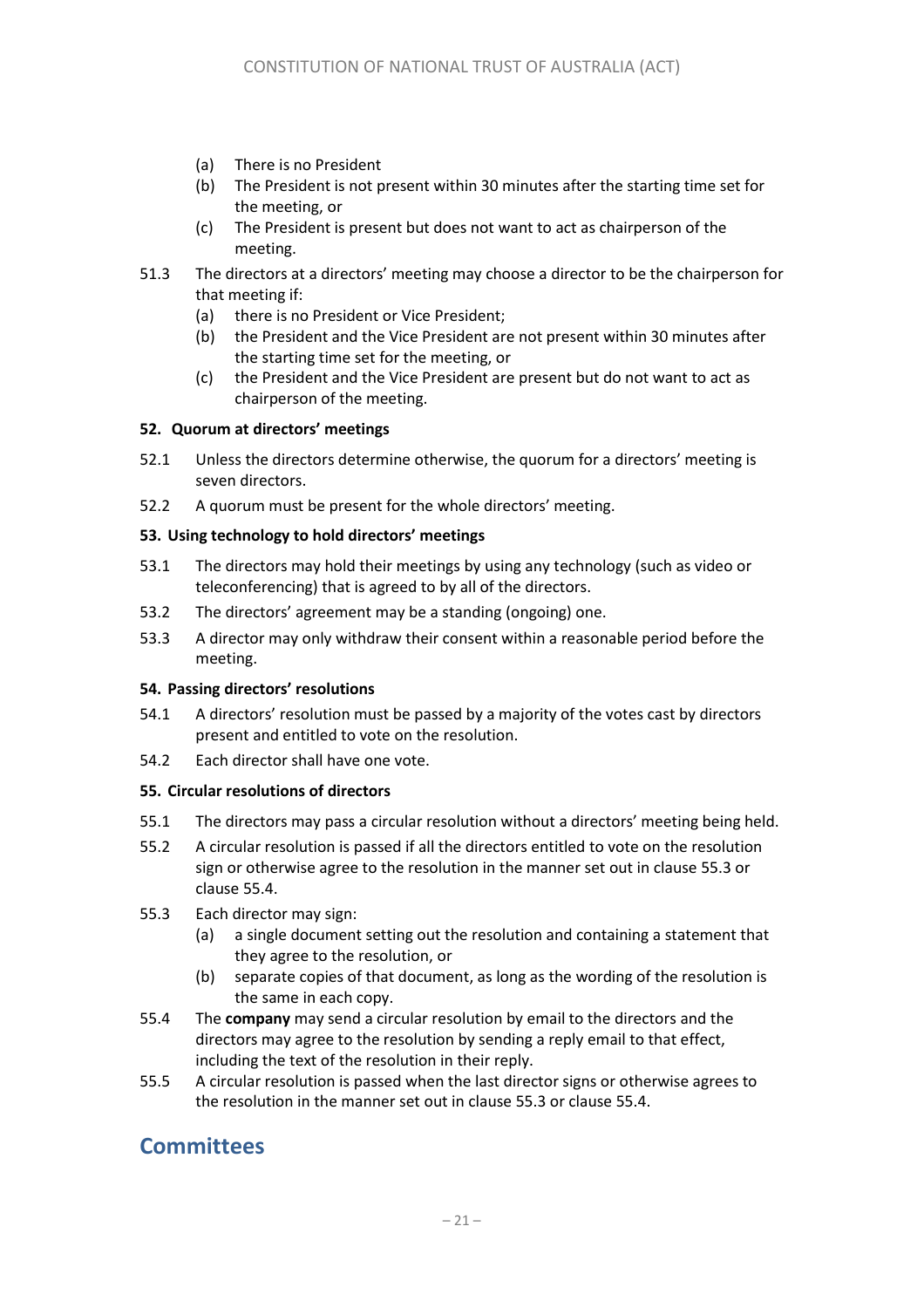- (a) There is no President
- (b) The President is not present within 30 minutes after the starting time set for the meeting, or
- (c) The President is present but does not want to act as chairperson of the meeting.
- 51.3 The directors at a directors' meeting may choose a director to be the chairperson for that meeting if:
	- (a) there is no President or Vice President;
	- (b) the President and the Vice President are not present within 30 minutes after the starting time set for the meeting, or
	- (c) the President and the Vice President are present but do not want to act as chairperson of the meeting.

#### **52. Quorum at directors' meetings**

- 52.1 Unless the directors determine otherwise, the quorum for a directors' meeting is seven directors.
- 52.2 A quorum must be present for the whole directors' meeting.

#### **53. Using technology to hold directors' meetings**

- 53.1 The directors may hold their meetings by using any technology (such as video or teleconferencing) that is agreed to by all of the directors.
- 53.2 The directors' agreement may be a standing (ongoing) one.
- 53.3 A director may only withdraw their consent within a reasonable period before the meeting.

#### **54. Passing directors' resolutions**

- 54.1 A directors' resolution must be passed by a majority of the votes cast by directors present and entitled to vote on the resolution.
- 54.2 Each director shall have one vote.

#### **55. Circular resolutions of directors**

- 55.1 The directors may pass a circular resolution without a directors' meeting being held.
- 55.2 A circular resolution is passed if all the directors entitled to vote on the resolution sign or otherwise agree to the resolution in the manner set out in clause [55.3](#page-20-0) or claus[e 55.4.](#page-20-1)
- <span id="page-20-0"></span>55.3 Each director may sign:
	- (a) a single document setting out the resolution and containing a statement that they agree to the resolution, or
	- (b) separate copies of that document, as long as the wording of the resolution is the same in each copy.
- <span id="page-20-1"></span>55.4 The **company** may send a circular resolution by email to the directors and the directors may agree to the resolution by sending a reply email to that effect, including the text of the resolution in their reply.
- 55.5 A circular resolution is passed when the last director signs or otherwise agrees to the resolution in the manner set out in clause [55.3](#page-20-0) or claus[e 55.4.](#page-20-1)

### **Committees**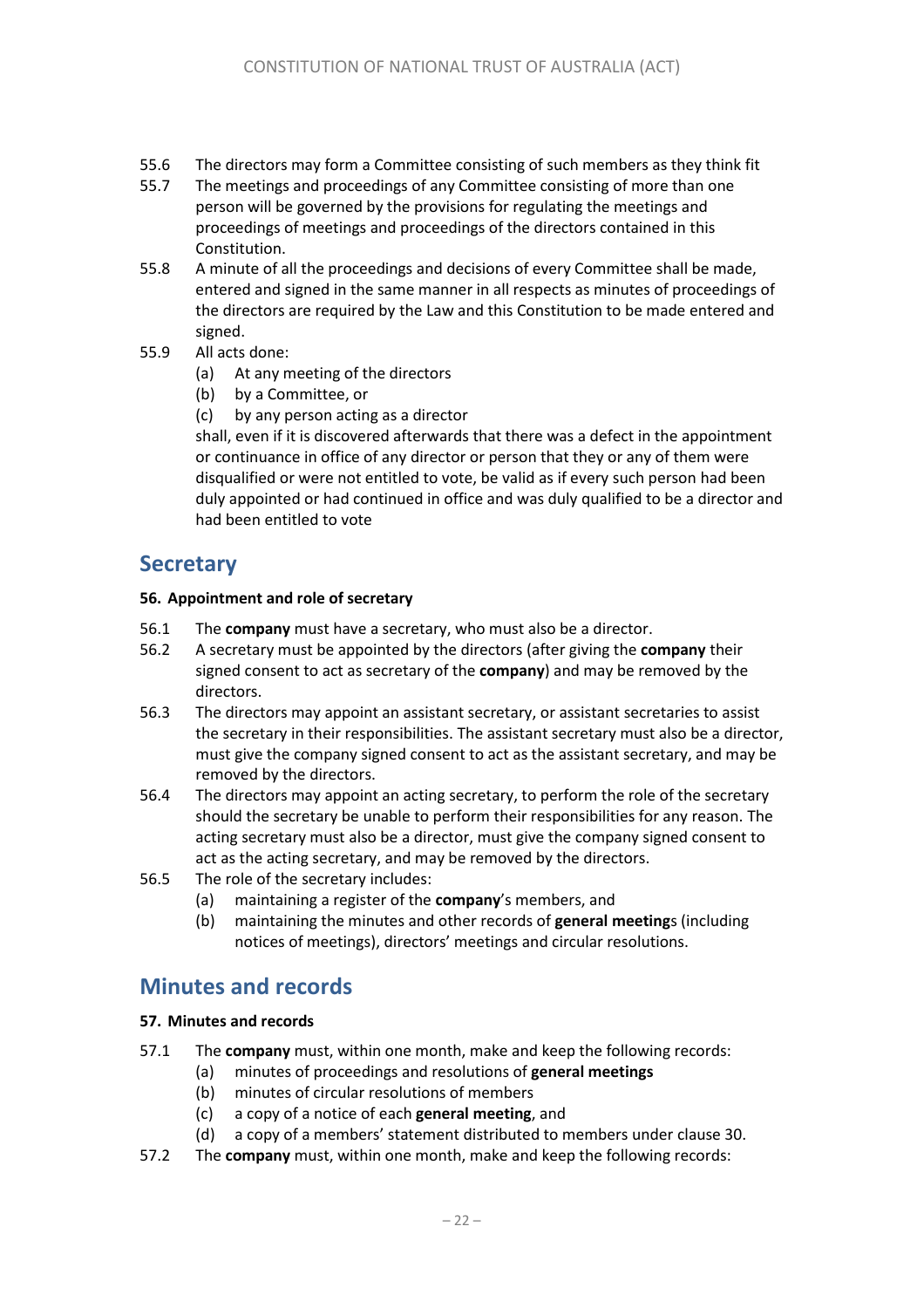- 55.6 The directors may form a Committee consisting of such members as they think fit
- 55.7 The meetings and proceedings of any Committee consisting of more than one person will be governed by the provisions for regulating the meetings and proceedings of meetings and proceedings of the directors contained in this Constitution.
- 55.8 A minute of all the proceedings and decisions of every Committee shall be made, entered and signed in the same manner in all respects as minutes of proceedings of the directors are required by the Law and this Constitution to be made entered and signed.
- 55.9 All acts done:
	- (a) At any meeting of the directors
	- (b) by a Committee, or
	- (c) by any person acting as a director

shall, even if it is discovered afterwards that there was a defect in the appointment or continuance in office of any director or person that they or any of them were disqualified or were not entitled to vote, be valid as if every such person had been duly appointed or had continued in office and was duly qualified to be a director and had been entitled to vote

### **Secretary**

#### **56. Appointment and role of secretary**

- 56.1 The **company** must have a secretary, who must also be a director.
- 56.2 A secretary must be appointed by the directors (after giving the **company** their signed consent to act as secretary of the **company**) and may be removed by the directors.
- 56.3 The directors may appoint an assistant secretary, or assistant secretaries to assist the secretary in their responsibilities. The assistant secretary must also be a director, must give the company signed consent to act as the assistant secretary, and may be removed by the directors.
- 56.4 The directors may appoint an acting secretary, to perform the role of the secretary should the secretary be unable to perform their responsibilities for any reason. The acting secretary must also be a director, must give the company signed consent to act as the acting secretary, and may be removed by the directors.
- 56.5 The role of the secretary includes:
	- (a) maintaining a register of the **company**'s members, and
	- (b) maintaining the minutes and other records of **general meeting**s (including notices of meetings), directors' meetings and circular resolutions.

### **Minutes and records**

#### **57. Minutes and records**

- <span id="page-21-0"></span>57.1 The **company** must, within one month, make and keep the following records:
	- (a) minutes of proceedings and resolutions of **general meetings**
	- (b) minutes of circular resolutions of members
	- (c) a copy of a notice of each **general meeting**, and
	- (d) a copy of a members' statement distributed to members under claus[e 30.](#page-1-5)
- <span id="page-21-1"></span>57.2 The **company** must, within one month, make and keep the following records: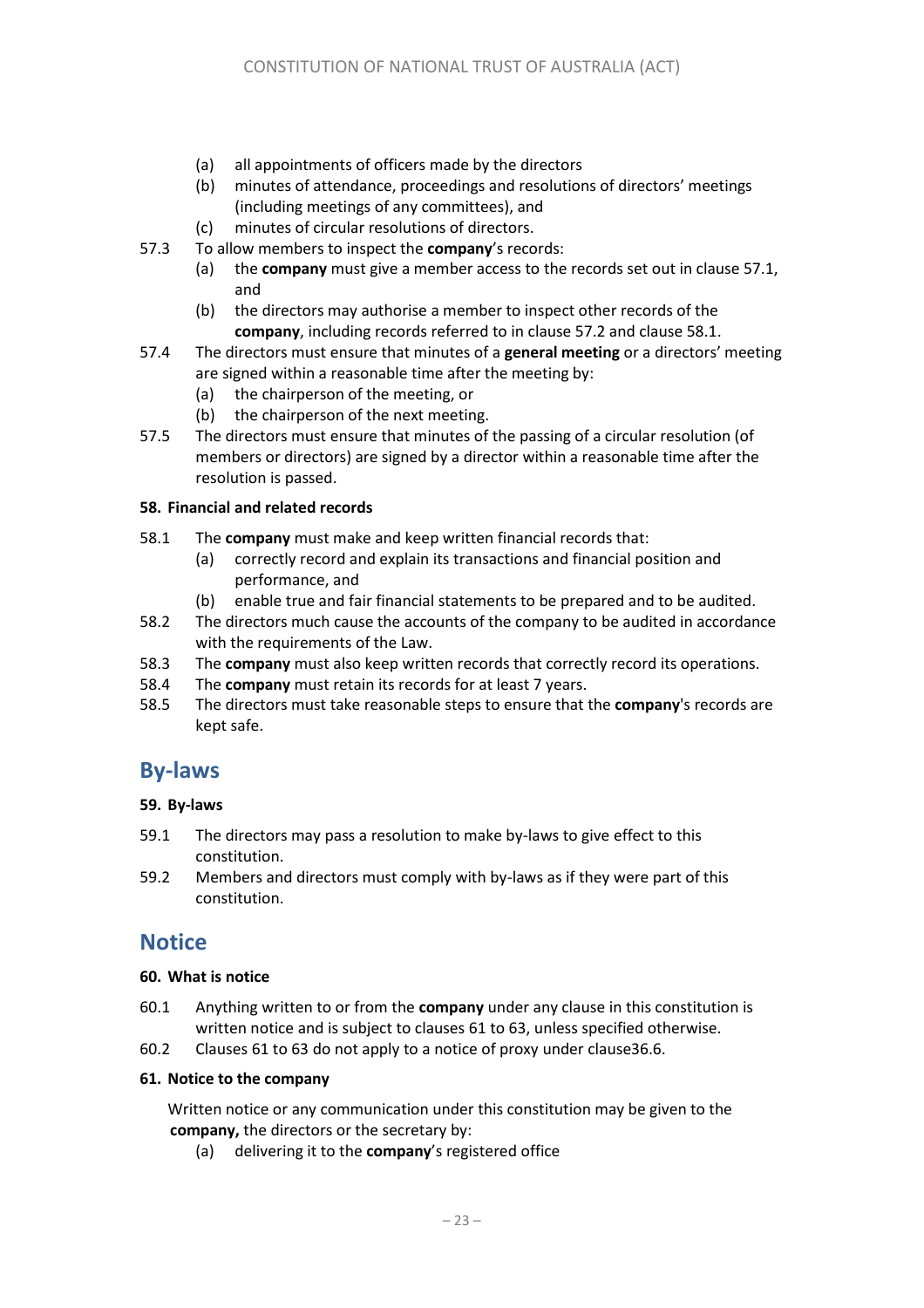- (a) all appointments of officers made by the directors
- (b) minutes of attendance, proceedings and resolutions of directors' meetings (including meetings of any committees), and
- (c) minutes of circular resolutions of directors.
- 57.3 To allow members to inspect the **company**'s records:
	- (a) the **company** must give a member access to the records set out in claus[e 57.1,](#page-21-0) and
	- (b) the directors may authorise a member to inspect other records of the **company**, including records referred to in clause [57.2](#page-21-1) and clause [58.1.](#page-22-0)
- 57.4 The directors must ensure that minutes of a **general meeting** or a directors' meeting are signed within a reasonable time after the meeting by:
	- (a) the chairperson of the meeting, or
	- (b) the chairperson of the next meeting.
- 57.5 The directors must ensure that minutes of the passing of a circular resolution (of members or directors) are signed by a director within a reasonable time after the resolution is passed.

#### **58. Financial and related records**

- <span id="page-22-0"></span>58.1 The **company** must make and keep written financial records that:
	- (a) correctly record and explain its transactions and financial position and performance, and
	- (b) enable true and fair financial statements to be prepared and to be audited.
- 58.2 The directors much cause the accounts of the company to be audited in accordance with the requirements of the Law.
- 58.3 The **company** must also keep written records that correctly record its operations.
- 58.4 The **company** must retain its records for at least 7 years.
- 58.5 The directors must take reasonable steps to ensure that the **company**'s records are kept safe.

### **By-laws**

#### **59. By-laws**

- 59.1 The directors may pass a resolution to make by-laws to give effect to this constitution.
- 59.2 Members and directors must comply with by-laws as if they were part of this constitution.

### **Notice**

#### **60. What is notice**

- 60.1 Anything written to or from the **company** under any clause in this constitution is written notice and is subject to clauses [61](#page-22-1) t[o 63,](#page-23-1) unless specified otherwise.
- 60.2 Clauses [61](#page-22-1) t[o 63](#page-23-1) do not apply to a notice of proxy under claus[e36.6.](#page-15-0)

#### <span id="page-22-1"></span>**61. Notice to the company**

Written notice or any communication under this constitution may be given to the **company,** the directors or the secretary by:

(a) delivering it to the **company**'s registered office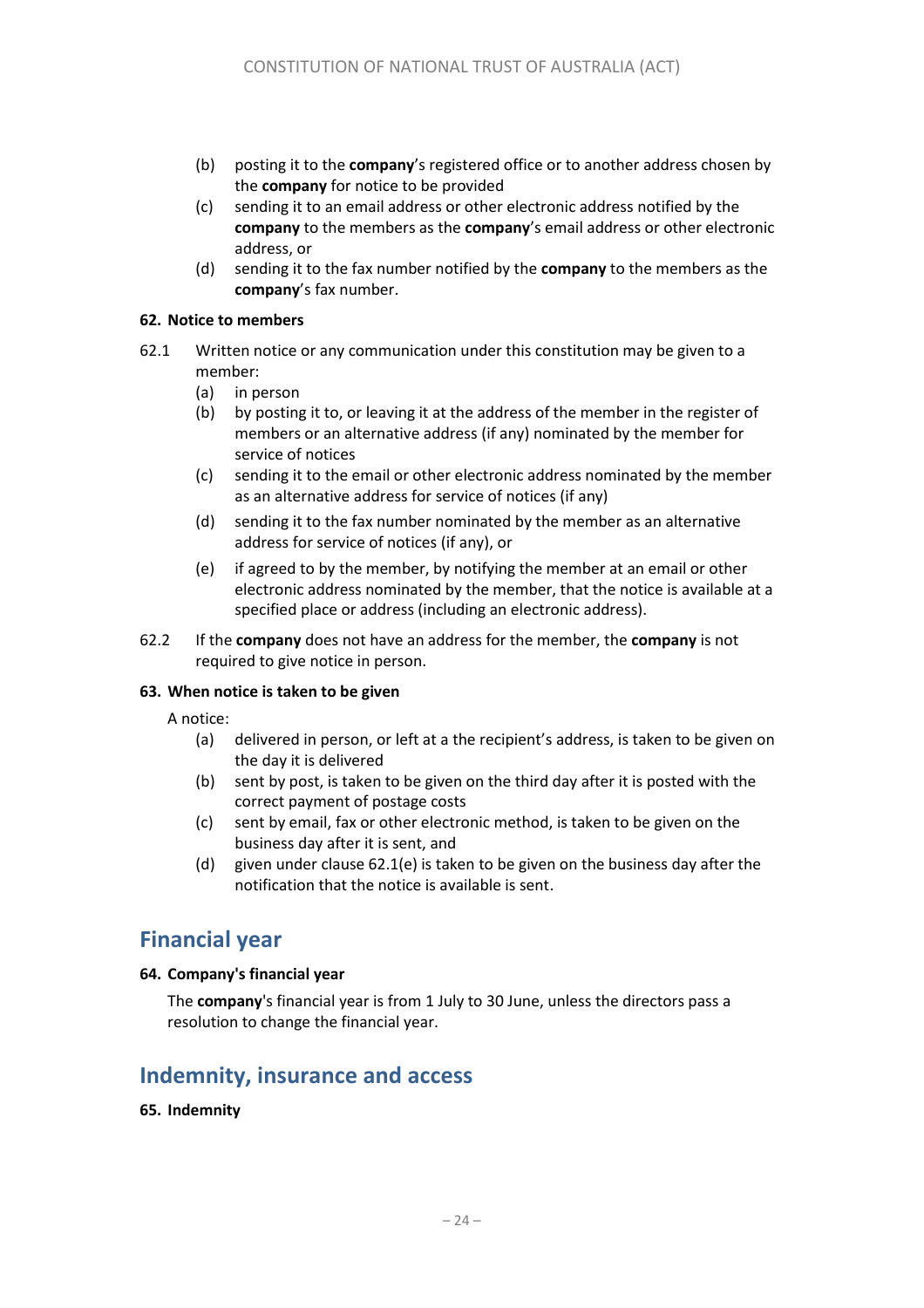- (b) posting it to the **company**'s registered office or to another address chosen by the **company** for notice to be provided
- (c) sending it to an email address or other electronic address notified by the **company** to the members as the **company**'s email address or other electronic address, or
- (d) sending it to the fax number notified by the **company** to the members as the **company**'s fax number.

#### **62. Notice to members**

- 62.1 Written notice or any communication under this constitution may be given to a member:
	- (a) in person
	- (b) by posting it to, or leaving it at the address of the member in the register of members or an alternative address (if any) nominated by the member for service of notices
	- (c) sending it to the email or other electronic address nominated by the member as an alternative address for service of notices (if any)
	- (d) sending it to the fax number nominated by the member as an alternative address for service of notices (if any), or
	- (e) if agreed to by the member, by notifying the member at an email or other electronic address nominated by the member, that the notice is available at a specified place or address (including an electronic address).
- 62.2 If the **company** does not have an address for the member, the **company** is not required to give notice in person.

#### <span id="page-23-1"></span>**63. When notice is taken to be given**

- A notice:
	- (a) delivered in person, or left at a the recipient's address, is taken to be given on the day it is delivered
	- (b) sent by post, is taken to be given on the third day after it is posted with the correct payment of postage costs
	- (c) sent by email, fax or other electronic method, is taken to be given on the business day after it is sent, and
	- (d) given under clause 62.1(e) is taken to be given on the business day after the notification that the notice is available is sent.

### **Financial year**

#### **64. Company's financial year**

The **company**'s financial year is from 1 July to 30 June, unless the directors pass a resolution to change the financial year.

### **Indemnity, insurance and access**

#### <span id="page-23-0"></span>**65. Indemnity**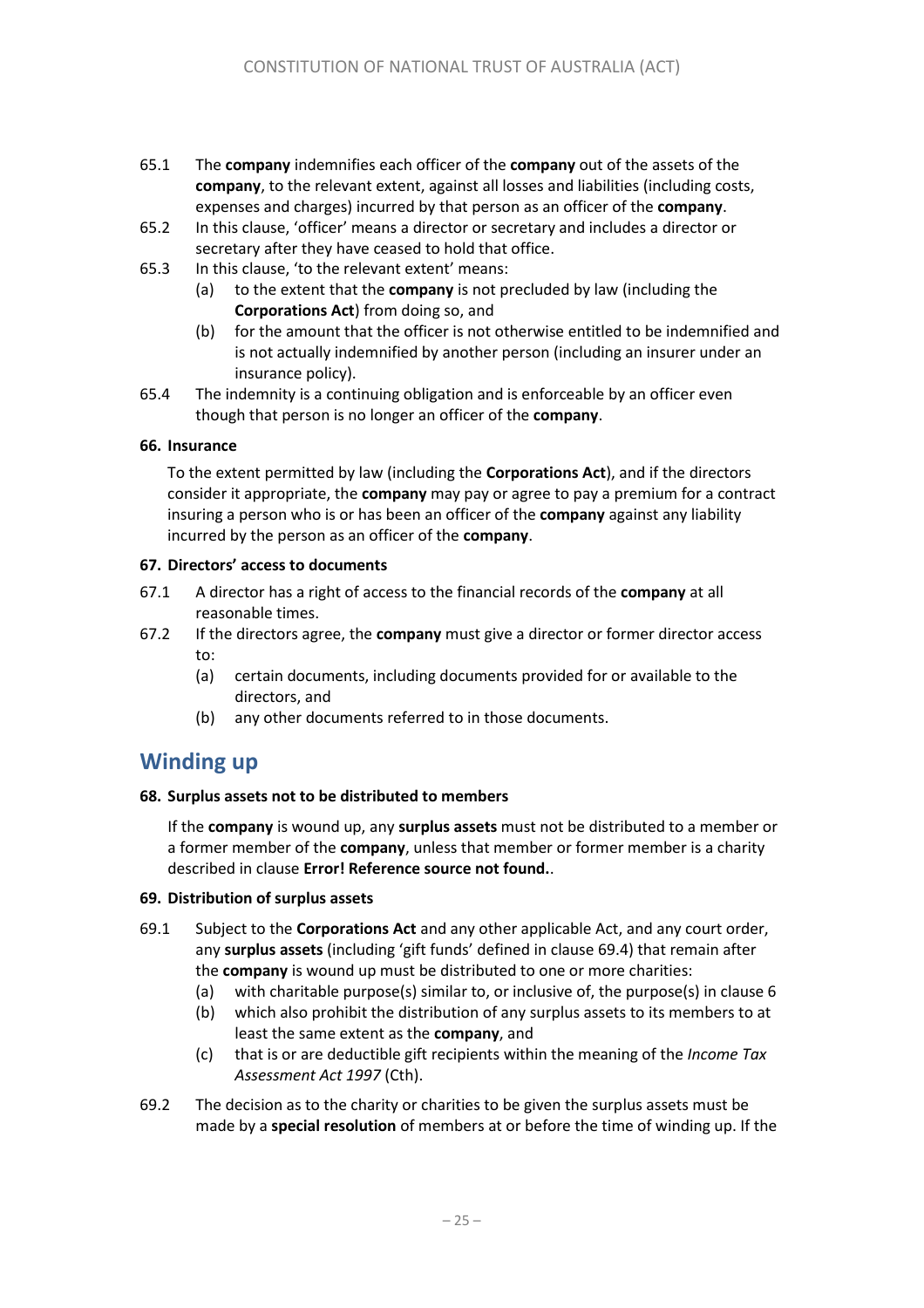- 65.1 The **company** indemnifies each officer of the **company** out of the assets of the **company**, to the relevant extent, against all losses and liabilities (including costs, expenses and charges) incurred by that person as an officer of the **company**.
- 65.2 In this clause, 'officer' means a director or secretary and includes a director or secretary after they have ceased to hold that office.
- 65.3 In this clause, 'to the relevant extent' means:
	- (a) to the extent that the **company** is not precluded by law (including the **Corporations Act**) from doing so, and
	- (b) for the amount that the officer is not otherwise entitled to be indemnified and is not actually indemnified by another person (including an insurer under an insurance policy).
- 65.4 The indemnity is a continuing obligation and is enforceable by an officer even though that person is no longer an officer of the **company**.

#### <span id="page-24-1"></span>**66. Insurance**

To the extent permitted by law (including the **Corporations Act**), and if the directors consider it appropriate, the **company** may pay or agree to pay a premium for a contract insuring a person who is or has been an officer of the **company** against any liability incurred by the person as an officer of the **company**.

#### **67. Directors' access to documents**

- 67.1 A director has a right of access to the financial records of the **company** at all reasonable times.
- 67.2 If the directors agree, the **company** must give a director or former director access to:
	- (a) certain documents, including documents provided for or available to the directors, and
	- (b) any other documents referred to in those documents.

### **Winding up**

#### **68. Surplus assets not to be distributed to members**

If the **company** is wound up, any **surplus assets** must not be distributed to a member or a former member of the **company**, unless that member or former member is a charity described in clause **Error! Reference source not found.**.

#### <span id="page-24-0"></span>**69. Distribution of surplus assets**

- 69.1 Subject to the **Corporations Act** and any other applicable Act, and any court order, any **surplus assets** (including 'gift funds' defined in clause 69.4) that remain after the **company** is wound up must be distributed to one or more charities:
	- (a) with charitable purpose(s) similar to, or inclusive of, the purpose(s) in clause 6
	- (b) which also prohibit the distribution of any surplus assets to its members to at least the same extent as the **company**, and
	- (c) that is or are deductible gift recipients within the meaning of the *Income Tax Assessment Act 1997* (Cth).
- 69.2 The decision as to the charity or charities to be given the surplus assets must be made by a **special resolution** of members at or before the time of winding up. If the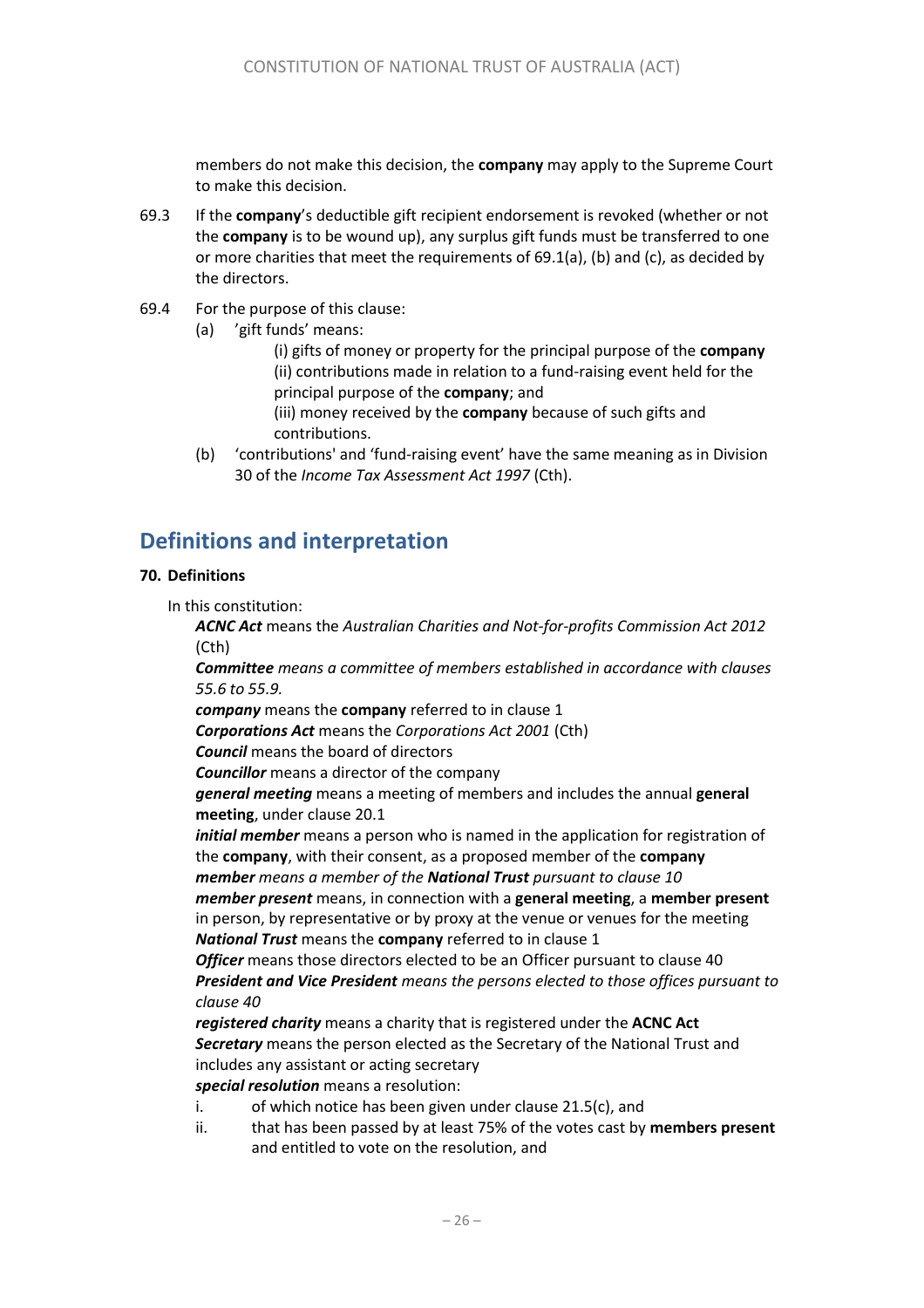members do not make this decision, the **company** may apply to the Supreme Court to make this decision.

- 69.3 If the **company**'s deductible gift recipient endorsement is revoked (whether or not the **company** is to be wound up), any surplus gift funds must be transferred to one or more charities that meet the requirements of 69.1(a), (b) and (c), as decided by the directors.
- 69.4 For the purpose of this clause:
	- (a) 'gift funds' means:
		- (i) gifts of money or property for the principal purpose of the **company** (ii) contributions made in relation to a fund-raising event held for the principal purpose of the **company**; and
		- (iii) money received by the **company** because of such gifts and contributions.
	- (b) 'contributions' and 'fund-raising event' have the same meaning as in Division 30 of the *Income Tax Assessment Act 1997* (Cth).

# **Definitions and interpretation**

#### <span id="page-25-0"></span>**70. Definitions**

In this constitution:

*ACNC Act* means the *Australian Charities and Not-for-profits Commission Act 2012*  (Cth)

*Committee means a committee of members established in accordance with clauses 55.6 to 55.9.*

*company* means the **company** referred to in clause [1](#page-3-3)

*Corporations Act* means the *Corporations Act 2001* (Cth)

*Council* means the board of directors

*Councillor* means a director of the company

*general meeting* means a meeting of members and includes the annual **general meeting**, under claus[e 20.1](#page-9-1)

*initial member* means a person who is named in the application for registration of the **company**, with their consent, as a proposed member of the **company** *member means a member of the National Trust pursuant to clause 10*

*member present* means, in connection with a **general meeting**, a **member present** in person, by representative or by proxy at the venue or venues for the meeting *National Trust* means the **company** referred to in clause 1

**Officer** means those directors elected to be an Officer pursuant to clause 40 *President and Vice President means the persons elected to those offices pursuant to clause 40*

*registered charity* means a charity that is registered under the **ACNC Act** *Secretary* means the person elected as the Secretary of the National Trust and includes any assistant or acting secretary

*special resolution* means a resolution:

- i. of which notice has been given under clause [21.5\(c\),](#page-10-2) and
- ii. that has been passed by at least 75% of the votes cast by **members present** and entitled to vote on the resolution, and